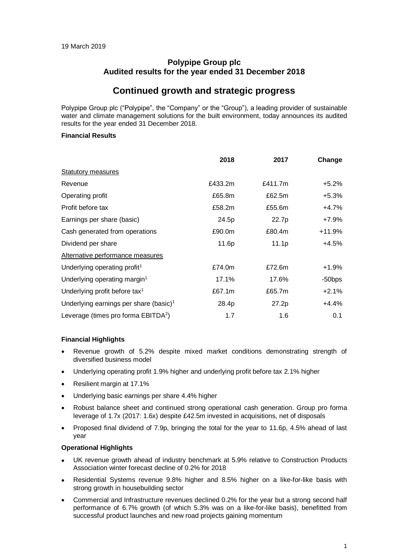## **Polypipe Group plc Audited results for the year ended 31 December 2018**

## **Continued growth and strategic progress**

Polypipe Group plc ("Polypipe", the "Company" or the "Group"), a leading provider of sustainable water and climate management solutions for the built environment, today announces its audited results for the year ended 31 December 2018.

### **Financial Results**

|                                                    | 2018    | 2017    | Change    |
|----------------------------------------------------|---------|---------|-----------|
| <b>Statutory measures</b>                          |         |         |           |
| Revenue                                            | £433.2m | £411.7m | +5.2%     |
| Operating profit                                   | £65.8m  | £62.5m  | $+5.3%$   |
| Profit before tax                                  | £58.2m  | £55.6m  | +4.7%     |
| Earnings per share (basic)                         | 24.5p   | 22.7p   | +7.9%     |
| Cash generated from operations                     | £90.0m  | £80.4m  | $+11.9%$  |
| Dividend per share                                 | 11.6p   | 11.1p   | +4.5%     |
| Alternative performance measures                   |         |         |           |
| Underlying operating profit <sup>1</sup>           | £74.0m  | £72.6m  | $+1.9\%$  |
| Underlying operating margin <sup>1</sup>           | 17.1%   | 17.6%   | $-50$ bps |
| Underlying profit before tax <sup>1</sup>          | £67.1m  | £65.7m  | $+2.1%$   |
| Underlying earnings per share (basic) <sup>1</sup> | 28.4p   | 27.2p   | $+4.4%$   |
| Leverage (times pro forma EBITDA <sup>2</sup> )    | 1.7     | 1.6     | 0.1       |

## **Financial Highlights**

- Revenue growth of 5.2% despite mixed market conditions demonstrating strength of diversified business model
- Underlying operating profit 1.9% higher and underlying profit before tax 2.1% higher
- Resilient margin at 17.1%
- Underlying basic earnings per share 4.4% higher
- Robust balance sheet and continued strong operational cash generation. Group pro forma leverage of 1.7x (2017: 1.6x) despite £42.5m invested in acquisitions, net of disposals
- Proposed final dividend of 7.9p, bringing the total for the year to 11.6p, 4.5% ahead of last year

## **Operational Highlights**

- UK revenue growth ahead of industry benchmark at 5.9% relative to Construction Products Association winter forecast decline of 0.2% for 2018
- Residential Systems revenue 9.8% higher and 8.5% higher on a like-for-like basis with strong growth in housebuilding sector
- Commercial and Infrastructure revenues declined 0.2% for the year but a strong second half performance of 6.7% growth (of which 5.3% was on a like-for-like basis), benefitted from successful product launches and new road projects gaining momentum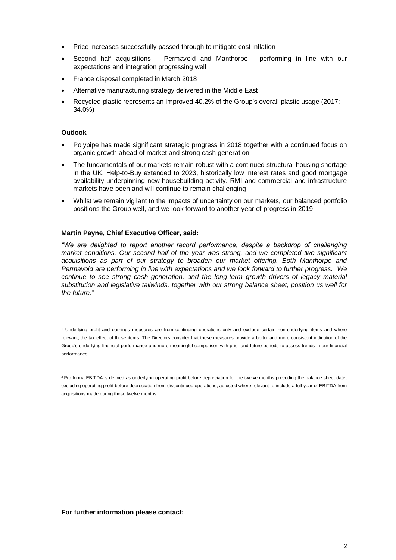- Price increases successfully passed through to mitigate cost inflation
- Second half acquisitions Permavoid and Manthorpe performing in line with our expectations and integration progressing well
- France disposal completed in March 2018
- Alternative manufacturing strategy delivered in the Middle East
- Recycled plastic represents an improved 40.2% of the Group's overall plastic usage (2017: 34.0%)

### **Outlook**

- Polypipe has made significant strategic progress in 2018 together with a continued focus on organic growth ahead of market and strong cash generation
- The fundamentals of our markets remain robust with a continued structural housing shortage in the UK, Help-to-Buy extended to 2023, historically low interest rates and good mortgage availability underpinning new housebuilding activity. RMI and commercial and infrastructure markets have been and will continue to remain challenging
- Whilst we remain vigilant to the impacts of uncertainty on our markets, our balanced portfolio positions the Group well, and we look forward to another year of progress in 2019

#### **Martin Payne, Chief Executive Officer, said:**

*"We are delighted to report another record performance, despite a backdrop of challenging market conditions. Our second half of the year was strong, and we completed two significant acquisitions as part of our strategy to broaden our market offering. Both Manthorpe and Permavoid are performing in line with expectations and we look forward to further progress. We continue to see strong cash generation, and the long-term growth drivers of legacy material substitution and legislative tailwinds, together with our strong balance sheet, position us well for the future."* 

<sup>1</sup> Underlying profit and earnings measures are from continuing operations only and exclude certain non-underlying items and where relevant, the tax effect of these items. The Directors consider that these measures provide a better and more consistent indication of the Group's underlying financial performance and more meaningful comparison with prior and future periods to assess trends in our financial performance.

<sup>2</sup> Pro forma EBITDA is defined as underlying operating profit before depreciation for the twelve months preceding the balance sheet date, excluding operating profit before depreciation from discontinued operations, adjusted where relevant to include a full year of EBITDA from acquisitions made during those twelve months.

**For further information please contact:**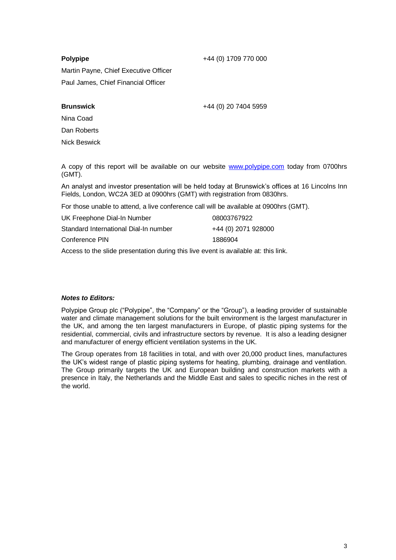## **Polypipe**

+44 (0) 1709 770 000

Martin Payne, Chief Executive Officer Paul James, Chief Financial Officer

## **Brunswick**

+44 (0) 20 7404 5959

Nina Coad Dan Roberts Nick Beswick

A copy of this report will be available on our website [www.polypipe.com](http://www.polypipe.com/) today from 0700hrs (GMT).

An analyst and investor presentation will be held today at Brunswick's offices at 16 Lincolns Inn Fields, London, WC2A 3ED at 0900hrs (GMT) with registration from 0830hrs.

For those unable to attend, a live conference call will be available at 0900hrs (GMT).

| UK Freephone Dial-In Number           | 08003767922         |
|---------------------------------------|---------------------|
| Standard International Dial-In number | +44 (0) 2071 928000 |
| Conference PIN                        | 1886904             |

Access to the slide presentation during this live event is available at: [this link.](https://webconnect.webex.com/webconnect/onstage/g.php?MTID=e1d5716462db11b64c6168e2d671e7cb5)

## *Notes to Editors:*

Polypipe Group plc ("Polypipe", the "Company" or the "Group"), a leading provider of sustainable water and climate management solutions for the built environment is the largest manufacturer in the UK, and among the ten largest manufacturers in Europe, of plastic piping systems for the residential, commercial, civils and infrastructure sectors by revenue. It is also a leading designer and manufacturer of energy efficient ventilation systems in the UK.

The Group operates from 18 facilities in total, and with over 20,000 product lines, manufactures the UK's widest range of plastic piping systems for heating, plumbing, drainage and ventilation. The Group primarily targets the UK and European building and construction markets with a presence in Italy, the Netherlands and the Middle East and sales to specific niches in the rest of the world.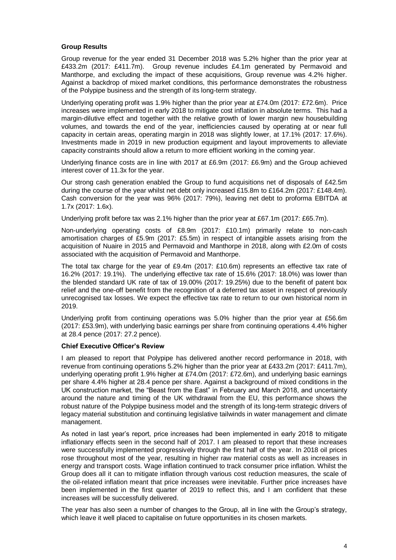### **Group Results**

Group revenue for the year ended 31 December 2018 was 5.2% higher than the prior year at £433.2m (2017: £411.7m). Group revenue includes £4.1m generated by Permavoid and Manthorpe, and excluding the impact of these acquisitions, Group revenue was 4.2% higher. Against a backdrop of mixed market conditions, this performance demonstrates the robustness of the Polypipe business and the strength of its long-term strategy.

Underlying operating profit was 1.9% higher than the prior year at £74.0m (2017: £72.6m). Price increases were implemented in early 2018 to mitigate cost inflation in absolute terms. This had a margin-dilutive effect and together with the relative growth of lower margin new housebuilding volumes, and towards the end of the year, inefficiencies caused by operating at or near full capacity in certain areas, operating margin in 2018 was slightly lower, at 17.1% (2017: 17.6%). Investments made in 2019 in new production equipment and layout improvements to alleviate capacity constraints should allow a return to more efficient working in the coming year.

Underlying finance costs are in line with 2017 at £6.9m (2017: £6.9m) and the Group achieved interest cover of 11.3x for the year.

Our strong cash generation enabled the Group to fund acquisitions net of disposals of £42.5m during the course of the year whilst net debt only increased £15.8m to £164.2m (2017: £148.4m). Cash conversion for the year was 96% (2017: 79%), leaving net debt to proforma EBITDA at 1.7x (2017: 1.6x).

Underlying profit before tax was 2.1% higher than the prior year at £67.1m (2017: £65.7m).

Non-underlying operating costs of £8.9m (2017: £10.1m) primarily relate to non-cash amortisation charges of £5.9m (2017: £5.5m) in respect of intangible assets arising from the acquisition of Nuaire in 2015 and Permavoid and Manthorpe in 2018, along with £2.0m of costs associated with the acquisition of Permavoid and Manthorpe.

The total tax charge for the year of £9.4m (2017: £10.6m) represents an effective tax rate of 16.2% (2017: 19.1%). The underlying effective tax rate of 15.6% (2017: 18.0%) was lower than the blended standard UK rate of tax of 19.00% (2017: 19.25%) due to the benefit of patent box relief and the one-off benefit from the recognition of a deferred tax asset in respect of previously unrecognised tax losses. We expect the effective tax rate to return to our own historical norm in 2019.

Underlying profit from continuing operations was 5.0% higher than the prior year at £56.6m (2017: £53.9m), with underlying basic earnings per share from continuing operations 4.4% higher at 28.4 pence (2017: 27.2 pence).

#### **Chief Executive Officer's Review**

I am pleased to report that Polypipe has delivered another record performance in 2018, with revenue from continuing operations 5.2% higher than the prior year at £433.2m (2017: £411.7m), underlying operating profit 1.9% higher at £74.0m (2017: £72.6m), and underlying basic earnings per share 4.4% higher at 28.4 pence per share. Against a background of mixed conditions in the UK construction market, the "Beast from the East" in February and March 2018, and uncertainty around the nature and timing of the UK withdrawal from the EU, this performance shows the robust nature of the Polypipe business model and the strength of its long-term strategic drivers of legacy material substitution and continuing legislative tailwinds in water management and climate management.

As noted in last year's report, price increases had been implemented in early 2018 to mitigate inflationary effects seen in the second half of 2017. I am pleased to report that these increases were successfully implemented progressively through the first half of the year. In 2018 oil prices rose throughout most of the year, resulting in higher raw material costs as well as increases in energy and transport costs. Wage inflation continued to track consumer price inflation. Whilst the Group does all it can to mitigate inflation through various cost reduction measures, the scale of the oil-related inflation meant that price increases were inevitable. Further price increases have been implemented in the first quarter of 2019 to reflect this, and I am confident that these increases will be successfully delivered.

The year has also seen a number of changes to the Group, all in line with the Group's strategy, which leave it well placed to capitalise on future opportunities in its chosen markets.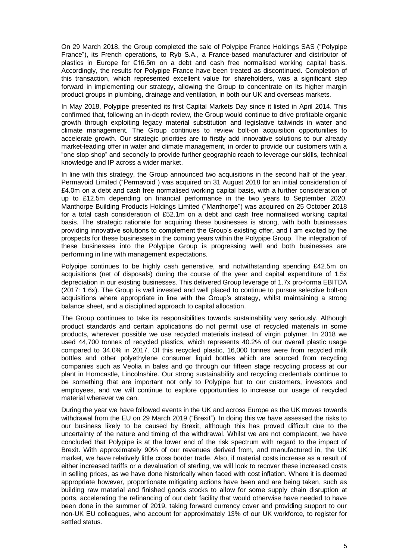On 29 March 2018, the Group completed the sale of Polypipe France Holdings SAS ("Polypipe France"), its French operations, to Ryb S.A., a France-based manufacturer and distributor of plastics in Europe for €16.5m on a debt and cash free normalised working capital basis. Accordingly, the results for Polypipe France have been treated as discontinued. Completion of this transaction, which represented excellent value for shareholders, was a significant step forward in implementing our strategy, allowing the Group to concentrate on its higher margin product groups in plumbing, drainage and ventilation, in both our UK and overseas markets.

In May 2018, Polypipe presented its first Capital Markets Day since it listed in April 2014. This confirmed that, following an in-depth review, the Group would continue to drive profitable organic growth through exploiting legacy material substitution and legislative tailwinds in water and climate management. The Group continues to review bolt-on acquisition opportunities to accelerate growth. Our strategic priorities are to firstly add innovative solutions to our already market-leading offer in water and climate management, in order to provide our customers with a "one stop shop" and secondly to provide further geographic reach to leverage our skills, technical knowledge and IP across a wider market.

In line with this strategy, the Group announced two acquisitions in the second half of the year. Permavoid Limited ("Permavoid") was acquired on 31 August 2018 for an initial consideration of £4.0m on a debt and cash free normalised working capital basis, with a further consideration of up to £12.5m depending on financial performance in the two years to September 2020. Manthorpe Building Products Holdings Limited ("Manthorpe") was acquired on 25 October 2018 for a total cash consideration of £52.1m on a debt and cash free normalised working capital basis. The strategic rationale for acquiring these businesses is strong, with both businesses providing innovative solutions to complement the Group's existing offer, and I am excited by the prospects for these businesses in the coming years within the Polypipe Group. The integration of these businesses into the Polypipe Group is progressing well and both businesses are performing in line with management expectations.

Polypipe continues to be highly cash generative, and notwithstanding spending £42.5m on acquisitions (net of disposals) during the course of the year and capital expenditure of 1.5x depreciation in our existing businesses. This delivered Group leverage of 1.7x pro-forma EBITDA (2017: 1.6x). The Group is well invested and well placed to continue to pursue selective bolt-on acquisitions where appropriate in line with the Group's strategy, whilst maintaining a strong balance sheet, and a disciplined approach to capital allocation.

The Group continues to take its responsibilities towards sustainability very seriously. Although product standards and certain applications do not permit use of recycled materials in some products, wherever possible we use recycled materials instead of virgin polymer. In 2018 we used 44,700 tonnes of recycled plastics, which represents 40.2% of our overall plastic usage compared to 34.0% in 2017. Of this recycled plastic, 16,000 tonnes were from recycled milk bottles and other polyethylene consumer liquid bottles which are sourced from recycling companies such as Veolia in bales and go through our fifteen stage recycling process at our plant in Horncastle, Lincolnshire. Our strong sustainability and recycling credentials continue to be something that are important not only to Polypipe but to our customers, investors and employees, and we will continue to explore opportunities to increase our usage of recycled material wherever we can.

During the year we have followed events in the UK and across Europe as the UK moves towards withdrawal from the EU on 29 March 2019 ("Brexit"). In doing this we have assessed the risks to our business likely to be caused by Brexit, although this has proved difficult due to the uncertainty of the nature and timing of the withdrawal. Whilst we are not complacent, we have concluded that Polypipe is at the lower end of the risk spectrum with regard to the impact of Brexit. With approximately 90% of our revenues derived from, and manufactured in, the UK market, we have relatively little cross border trade. Also, if material costs increase as a result of either increased tariffs or a devaluation of sterling, we will look to recover these increased costs in selling prices, as we have done historically when faced with cost inflation. Where it is deemed appropriate however, proportionate mitigating actions have been and are being taken, such as building raw material and finished goods stocks to allow for some supply chain disruption at ports, accelerating the refinancing of our debt facility that would otherwise have needed to have been done in the summer of 2019, taking forward currency cover and providing support to our non-UK EU colleagues, who account for approximately 13% of our UK workforce, to register for settled status.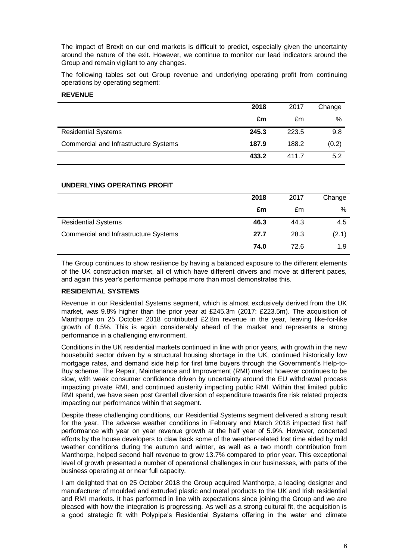The impact of Brexit on our end markets is difficult to predict, especially given the uncertainty around the nature of the exit. However, we continue to monitor our lead indicators around the Group and remain vigilant to any changes.

The following tables set out Group revenue and underlying operating profit from continuing operations by operating segment:

#### **REVENUE**

|                                       | 2018  | 2017  | Change |
|---------------------------------------|-------|-------|--------|
|                                       | £m    | £m    | %      |
| <b>Residential Systems</b>            | 245.3 | 223.5 | 9.8    |
| Commercial and Infrastructure Systems | 187.9 | 188.2 | (0.2)  |
|                                       | 433.2 | 411.7 | 5.2    |

### **UNDERLYING OPERATING PROFIT**

|                                       | 2018 | 2017 | Change |
|---------------------------------------|------|------|--------|
|                                       | £m   | £m   | %      |
| <b>Residential Systems</b>            | 46.3 | 44.3 | 4.5    |
| Commercial and Infrastructure Systems | 27.7 | 28.3 | (2.1)  |
|                                       | 74.0 | 72.6 | 1.9    |

The Group continues to show resilience by having a balanced exposure to the different elements of the UK construction market, all of which have different drivers and move at different paces, and again this year's performance perhaps more than most demonstrates this.

## **RESIDENTIAL SYSTEMS**

Revenue in our Residential Systems segment, which is almost exclusively derived from the UK market, was 9.8% higher than the prior year at £245.3m (2017: £223.5m). The acquisition of Manthorpe on 25 October 2018 contributed £2.8m revenue in the year, leaving like-for-like growth of 8.5%. This is again considerably ahead of the market and represents a strong performance in a challenging environment.

Conditions in the UK residential markets continued in line with prior years, with growth in the new housebuild sector driven by a structural housing shortage in the UK, continued historically low mortgage rates, and demand side help for first time buyers through the Government's Help-to-Buy scheme. The Repair, Maintenance and Improvement (RMI) market however continues to be slow, with weak consumer confidence driven by uncertainty around the EU withdrawal process impacting private RMI, and continued austerity impacting public RMI. Within that limited public RMI spend, we have seen post Grenfell diversion of expenditure towards fire risk related projects impacting our performance within that segment.

Despite these challenging conditions, our Residential Systems segment delivered a strong result for the year. The adverse weather conditions in February and March 2018 impacted first half performance with year on year revenue growth at the half year of 5.9%. However, concerted efforts by the house developers to claw back some of the weather-related lost time aided by mild weather conditions during the autumn and winter, as well as a two month contribution from Manthorpe, helped second half revenue to grow 13.7% compared to prior year. This exceptional level of growth presented a number of operational challenges in our businesses, with parts of the business operating at or near full capacity.

I am delighted that on 25 October 2018 the Group acquired Manthorpe, a leading designer and manufacturer of moulded and extruded plastic and metal products to the UK and Irish residential and RMI markets. It has performed in line with expectations since joining the Group and we are pleased with how the integration is progressing. As well as a strong cultural fit, the acquisition is a good strategic fit with Polypipe's Residential Systems offering in the water and climate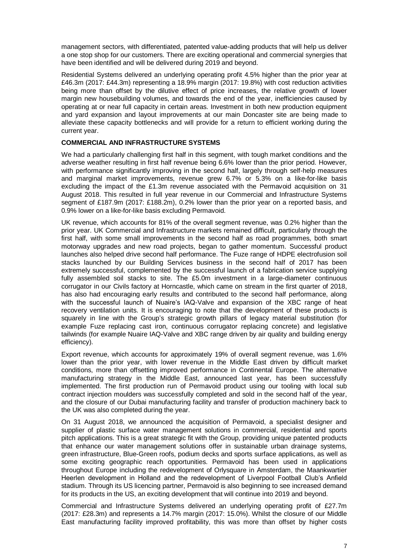management sectors, with differentiated, patented value-adding products that will help us deliver a one stop shop for our customers. There are exciting operational and commercial synergies that have been identified and will be delivered during 2019 and beyond.

Residential Systems delivered an underlying operating profit 4.5% higher than the prior year at £46.3m (2017: £44.3m) representing a 18.9% margin (2017: 19.8%) with cost reduction activities being more than offset by the dilutive effect of price increases, the relative growth of lower margin new housebuilding volumes, and towards the end of the year, inefficiencies caused by operating at or near full capacity in certain areas. Investment in both new production equipment and yard expansion and layout improvements at our main Doncaster site are being made to alleviate these capacity bottlenecks and will provide for a return to efficient working during the current year.

### **COMMERCIAL AND INFRASTRUCTURE SYSTEMS**

We had a particularly challenging first half in this segment, with tough market conditions and the adverse weather resulting in first half revenue being 6.6% lower than the prior period. However, with performance significantly improving in the second half, largely through self-help measures and marginal market improvements, revenue grew 6.7% or 5.3% on a like-for-like basis excluding the impact of the £1.3m revenue associated with the Permavoid acquisition on 31 August 2018. This resulted in full year revenue in our Commercial and Infrastructure Systems segment of £187.9m (2017: £188.2m), 0.2% lower than the prior year on a reported basis, and 0.9% lower on a like-for-like basis excluding Permavoid.

UK revenue, which accounts for 81% of the overall segment revenue, was 0.2% higher than the prior year. UK Commercial and Infrastructure markets remained difficult, particularly through the first half, with some small improvements in the second half as road programmes, both smart motorway upgrades and new road projects, began to gather momentum. Successful product launches also helped drive second half performance. The Fuze range of HDPE electrofusion soil stacks launched by our Building Services business in the second half of 2017 has been extremely successful, complemented by the successful launch of a fabrication service supplying fully assembled soil stacks to site. The £5.0m investment in a large-diameter continuous corrugator in our Civils factory at Horncastle, which came on stream in the first quarter of 2018, has also had encouraging early results and contributed to the second half performance, along with the successful launch of Nuaire's IAQ-Valve and expansion of the XBC range of heat recovery ventilation units. It is encouraging to note that the development of these products is squarely in line with the Group's strategic growth pillars of legacy material substitution (for example Fuze replacing cast iron, continuous corrugator replacing concrete) and legislative tailwinds (for example Nuaire IAQ-Valve and XBC range driven by air quality and building energy efficiency).

Export revenue, which accounts for approximately 19% of overall segment revenue, was 1.6% lower than the prior year, with lower revenue in the Middle East driven by difficult market conditions, more than offsetting improved performance in Continental Europe. The alternative manufacturing strategy in the Middle East, announced last year, has been successfully implemented. The first production run of Permavoid product using our tooling with local sub contract injection moulders was successfully completed and sold in the second half of the year, and the closure of our Dubai manufacturing facility and transfer of production machinery back to the UK was also completed during the year.

On 31 August 2018, we announced the acquisition of Permavoid, a specialist designer and supplier of plastic surface water management solutions in commercial, residential and sports pitch applications. This is a great strategic fit with the Group, providing unique patented products that enhance our water management solutions offer in sustainable urban drainage systems, green infrastructure, Blue-Green roofs, podium decks and sports surface applications, as well as some exciting geographic reach opportunities. Permavoid has been used in applications throughout Europe including the redevelopment of Orlysquare in Amsterdam, the Maankwartier Heerlen development in Holland and the redevelopment of Liverpool Football Club's Anfield stadium. Through its US licencing partner, Permavoid is also beginning to see increased demand for its products in the US, an exciting development that will continue into 2019 and beyond.

Commercial and Infrastructure Systems delivered an underlying operating profit of £27.7m (2017: £28.3m) and represents a 14.7% margin (2017: 15.0%). Whilst the closure of our Middle East manufacturing facility improved profitability, this was more than offset by higher costs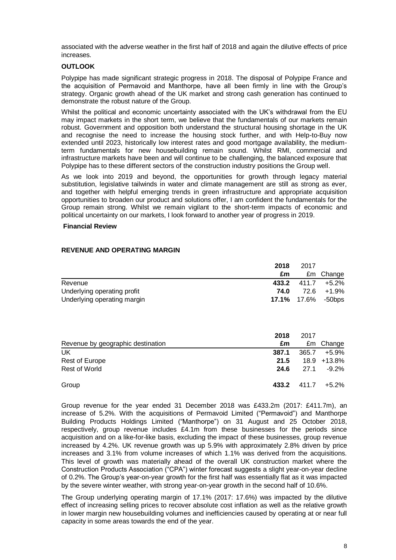associated with the adverse weather in the first half of 2018 and again the dilutive effects of price increases.

### **OUTLOOK**

Polypipe has made significant strategic progress in 2018. The disposal of Polypipe France and the acquisition of Permavoid and Manthorpe, have all been firmly in line with the Group's strategy. Organic growth ahead of the UK market and strong cash generation has continued to demonstrate the robust nature of the Group.

Whilst the political and economic uncertainty associated with the UK's withdrawal from the EU may impact markets in the short term, we believe that the fundamentals of our markets remain robust. Government and opposition both understand the structural housing shortage in the UK and recognise the need to increase the housing stock further, and with Help-to-Buy now extended until 2023, historically low interest rates and good mortgage availability, the mediumterm fundamentals for new housebuilding remain sound. Whilst RMI, commercial and infrastructure markets have been and will continue to be challenging, the balanced exposure that Polypipe has to these different sectors of the construction industry positions the Group well.

As we look into 2019 and beyond, the opportunities for growth through legacy material substitution, legislative tailwinds in water and climate management are still as strong as ever, and together with helpful emerging trends in green infrastructure and appropriate acquisition opportunities to broaden our product and solutions offer, I am confident the fundamentals for the Group remain strong. Whilst we remain vigilant to the short-term impacts of economic and political uncertainty on our markets, I look forward to another year of progress in 2019.

#### **Financial Review**

|                             | 2018<br>2017 |  |                           |  |
|-----------------------------|--------------|--|---------------------------|--|
|                             | £m           |  | £m Change                 |  |
| Revenue                     | 433.2        |  | 411.7 +5.2%               |  |
| Underlying operating profit | 74.0         |  | 72.6 +1.9%                |  |
| Underlying operating margin |              |  | <b>17.1%</b> 17.6% -50bps |  |

## **REVENUE AND OPERATING MARGIN**

|                                   | 2018  | 2017  |                |
|-----------------------------------|-------|-------|----------------|
| Revenue by geographic destination | £m    |       | £m Change      |
| UK                                | 387.1 | 365.7 | +5.9%          |
| Rest of Europe                    | 21.5  |       | 18.9 +13.8%    |
| <b>Rest of World</b>              | 24.6  | 27.1  | $-9.2\%$       |
| Group                             | 433.2 |       | $411.7 +5.2\%$ |

Group revenue for the year ended 31 December 2018 was £433.2m (2017: £411.7m), an increase of 5.2%. With the acquisitions of Permavoid Limited ("Permavoid") and Manthorpe Building Products Holdings Limited ("Manthorpe") on 31 August and 25 October 2018, respectively, group revenue includes £4.1m from these businesses for the periods since acquisition and on a like-for-like basis, excluding the impact of these businesses, group revenue increased by 4.2%. UK revenue growth was up 5.9% with approximately 2.8% driven by price increases and 3.1% from volume increases of which 1.1% was derived from the acquisitions. This level of growth was materially ahead of the overall UK construction market where the Construction Products Association ("CPA") winter forecast suggests a slight year-on-year decline of 0.2%. The Group's year-on-year growth for the first half was essentially flat as it was impacted by the severe winter weather, with strong year-on-year growth in the second half of 10.6%.

The Group underlying operating margin of 17.1% (2017: 17.6%) was impacted by the dilutive effect of increasing selling prices to recover absolute cost inflation as well as the relative growth in lower margin new housebuilding volumes and inefficiencies caused by operating at or near full capacity in some areas towards the end of the year.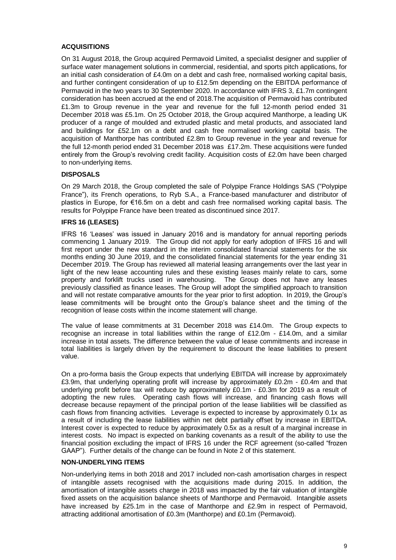## **ACQUISITIONS**

On 31 August 2018, the Group acquired Permavoid Limited, a specialist designer and supplier of surface water management solutions in commercial, residential, and sports pitch applications, for an initial cash consideration of £4.0m on a debt and cash free, normalised working capital basis, and further contingent consideration of up to £12.5m depending on the EBITDA performance of Permavoid in the two years to 30 September 2020. In accordance with IFRS 3, £1.7m contingent consideration has been accrued at the end of 2018.The acquisition of Permavoid has contributed £1.3m to Group revenue in the year and revenue for the full 12-month period ended 31 December 2018 was £5.1m. On 25 October 2018, the Group acquired Manthorpe, a leading UK producer of a range of moulded and extruded plastic and metal products, and associated land and buildings for £52.1m on a debt and cash free normalised working capital basis. The acquisition of Manthorpe has contributed £2.8m to Group revenue in the year and revenue for the full 12-month period ended 31 December 2018 was £17.2m. These acquisitions were funded entirely from the Group's revolving credit facility. Acquisition costs of £2.0m have been charged to non-underlying items.

#### **DISPOSALS**

On 29 March 2018, the Group completed the sale of Polypipe France Holdings SAS ("Polypipe France"), its French operations, to Ryb S.A., a France-based manufacturer and distributor of plastics in Europe, for €16.5m on a debt and cash free normalised working capital basis. The results for Polypipe France have been treated as discontinued since 2017.

#### **IFRS 16 (LEASES)**

IFRS 16 'Leases' was issued in January 2016 and is mandatory for annual reporting periods commencing 1 January 2019. The Group did not apply for early adoption of IFRS 16 and will first report under the new standard in the interim consolidated financial statements for the six months ending 30 June 2019, and the consolidated financial statements for the year ending 31 December 2019. The Group has reviewed all material leasing arrangements over the last year in light of the new lease accounting rules and these existing leases mainly relate to cars, some property and forklift trucks used in warehousing. The Group does not have any leases previously classified as finance leases. The Group will adopt the simplified approach to transition and will not restate comparative amounts for the year prior to first adoption. In 2019, the Group's lease commitments will be brought onto the Group's balance sheet and the timing of the recognition of lease costs within the income statement will change.

The value of lease commitments at 31 December 2018 was £14.0m. The Group expects to recognise an increase in total liabilities within the range of £12.0m - £14.0m, and a similar increase in total assets. The difference between the value of lease commitments and increase in total liabilities is largely driven by the requirement to discount the lease liabilities to present value.

On a pro-forma basis the Group expects that underlying EBITDA will increase by approximately £3.9m, that underlying operating profit will increase by approximately £0.2m - £0.4m and that underlying profit before tax will reduce by approximately £0.1m - £0.3m for 2019 as a result of adopting the new rules. Operating cash flows will increase, and financing cash flows will decrease because repayment of the principal portion of the lease liabilities will be classified as cash flows from financing activities. Leverage is expected to increase by approximately 0.1x as a result of including the lease liabilities within net debt partially offset by increase in EBITDA. Interest cover is expected to reduce by approximately 0.5x as a result of a marginal increase in interest costs. No impact is expected on banking covenants as a result of the ability to use the financial position excluding the impact of IFRS 16 under the RCF agreement (so-called "frozen GAAP"). Further details of the change can be found in Note 2 of this statement.

#### **NON-UNDERLYING ITEMS**

Non-underlying items in both 2018 and 2017 included non-cash amortisation charges in respect of intangible assets recognised with the acquisitions made during 2015. In addition, the amortisation of intangible assets charge in 2018 was impacted by the fair valuation of intangible fixed assets on the acquisition balance sheets of Manthorpe and Permavoid. Intangible assets have increased by £25.1m in the case of Manthorpe and £2.9m in respect of Permavoid, attracting additional amortisation of £0.3m (Manthorpe) and £0.1m (Permavoid).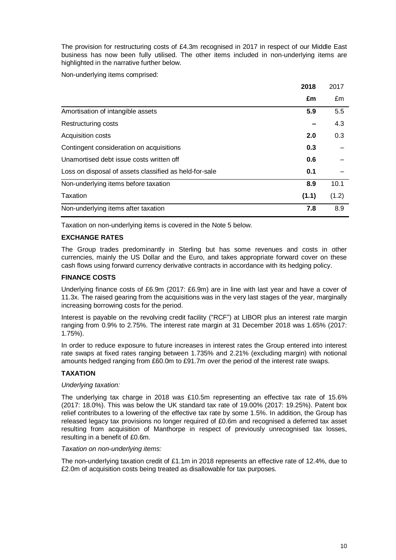The provision for restructuring costs of £4.3m recognised in 2017 in respect of our Middle East business has now been fully utilised. The other items included in non-underlying items are highlighted in the narrative further below.

Non-underlying items comprised:

|                                                        | 2018  | 2017  |
|--------------------------------------------------------|-------|-------|
|                                                        | £m    | £m    |
| Amortisation of intangible assets                      | 5.9   | 5.5   |
| <b>Restructuring costs</b>                             |       | 4.3   |
| Acquisition costs                                      | 2.0   | 0.3   |
| Contingent consideration on acquisitions               | 0.3   |       |
| Unamortised debt issue costs written off               | 0.6   |       |
| Loss on disposal of assets classified as held-for-sale | 0.1   |       |
| Non-underlying items before taxation                   | 8.9   | 10.1  |
| Taxation                                               | (1.1) | (1.2) |
| Non-underlying items after taxation                    | 7.8   | 8.9   |

Taxation on non-underlying items is covered in the Note 5 below.

## **EXCHANGE RATES**

The Group trades predominantly in Sterling but has some revenues and costs in other currencies, mainly the US Dollar and the Euro, and takes appropriate forward cover on these cash flows using forward currency derivative contracts in accordance with its hedging policy.

### **FINANCE COSTS**

Underlying finance costs of £6.9m (2017: £6.9m) are in line with last year and have a cover of 11.3x. The raised gearing from the acquisitions was in the very last stages of the year, marginally increasing borrowing costs for the period.

Interest is payable on the revolving credit facility ("RCF") at LIBOR plus an interest rate margin ranging from 0.9% to 2.75%. The interest rate margin at 31 December 2018 was 1.65% (2017: 1.75%).

In order to reduce exposure to future increases in interest rates the Group entered into interest rate swaps at fixed rates ranging between 1.735% and 2.21% (excluding margin) with notional amounts hedged ranging from £60.0m to £91.7m over the period of the interest rate swaps.

## **TAXATION**

#### *Underlying taxation:*

The underlying tax charge in 2018 was £10.5m representing an effective tax rate of 15.6% (2017: 18.0%). This was below the UK standard tax rate of 19.00% (2017: 19.25%). Patent box relief contributes to a lowering of the effective tax rate by some 1.5%. In addition, the Group has released legacy tax provisions no longer required of £0.6m and recognised a deferred tax asset resulting from acquisition of Manthorpe in respect of previously unrecognised tax losses, resulting in a benefit of £0.6m.

#### *Taxation on non-underlying items:*

The non-underlying taxation credit of £1.1m in 2018 represents an effective rate of 12.4%, due to £2.0m of acquisition costs being treated as disallowable for tax purposes.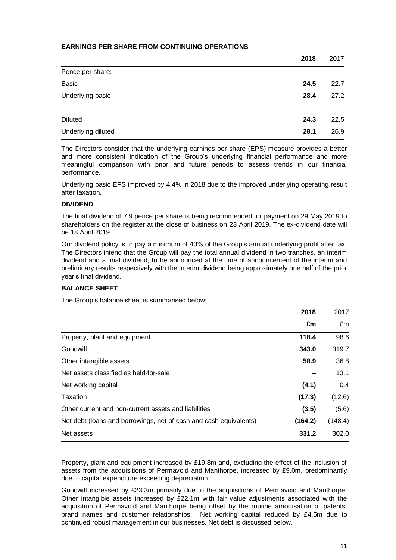## **EARNINGS PER SHARE FROM CONTINUING OPERATIONS**

|                    | 2018 | 2017 |
|--------------------|------|------|
| Pence per share:   |      |      |
| <b>Basic</b>       | 24.5 | 22.7 |
| Underlying basic   | 28.4 | 27.2 |
|                    |      |      |
| <b>Diluted</b>     | 24.3 | 22.5 |
| Underlying diluted | 28.1 | 26.9 |

The Directors consider that the underlying earnings per share (EPS) measure provides a better and more consistent indication of the Group's underlying financial performance and more meaningful comparison with prior and future periods to assess trends in our financial performance.

Underlying basic EPS improved by 4.4% in 2018 due to the improved underlying operating result after taxation.

### **DIVIDEND**

The final dividend of 7.9 pence per share is being recommended for payment on 29 May 2019 to shareholders on the register at the close of business on 23 April 2019. The ex-dividend date will be 18 April 2019.

Our dividend policy is to pay a minimum of 40% of the Group's annual underlying profit after tax. The Directors intend that the Group will pay the total annual dividend in two tranches, an interim dividend and a final dividend, to be announced at the time of announcement of the interim and preliminary results respectively with the interim dividend being approximately one half of the prior year's final dividend.

## **BALANCE SHEET**

The Group's balance sheet is summarised below:

|                                                                   | 2018    | 2017    |
|-------------------------------------------------------------------|---------|---------|
|                                                                   | £m      | £m      |
| Property, plant and equipment                                     | 118.4   | 98.6    |
| Goodwill                                                          | 343.0   | 319.7   |
| Other intangible assets                                           | 58.9    | 36.8    |
| Net assets classified as held-for-sale                            |         | 13.1    |
| Net working capital                                               | (4.1)   | 0.4     |
| Taxation                                                          | (17.3)  | (12.6)  |
| Other current and non-current assets and liabilities              | (3.5)   | (5.6)   |
| Net debt (loans and borrowings, net of cash and cash equivalents) | (164.2) | (148.4) |
| Net assets                                                        | 331.2   | 302.0   |

Property, plant and equipment increased by £19.8m and, excluding the effect of the inclusion of assets from the acquisitions of Permavoid and Manthorpe, increased by £9.0m, predominantly due to capital expenditure exceeding depreciation.

Goodwill increased by £23.3m primarily due to the acquisitions of Permavoid and Manthorpe. Other intangible assets increased by £22.1m with fair value adjustments associated with the acquisition of Permavoid and Manthorpe being offset by the routine amortisation of patents, brand names and customer relationships. Net working capital reduced by £4.5m due to continued robust management in our businesses. Net debt is discussed below.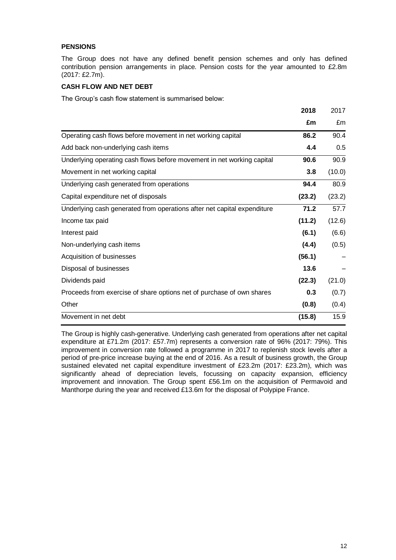## **PENSIONS**

The Group does not have any defined benefit pension schemes and only has defined contribution pension arrangements in place. Pension costs for the year amounted to £2.8m (2017: £2.7m).

## **CASH FLOW AND NET DEBT**

The Group's cash flow statement is summarised below:

|                                                                         | 2018   | 2017   |
|-------------------------------------------------------------------------|--------|--------|
|                                                                         | £m     | £m     |
| Operating cash flows before movement in net working capital             | 86.2   | 90.4   |
| Add back non-underlying cash items                                      | 4.4    | 0.5    |
| Underlying operating cash flows before movement in net working capital  | 90.6   | 90.9   |
| Movement in net working capital                                         | 3.8    | (10.0) |
| Underlying cash generated from operations                               | 94.4   | 80.9   |
| Capital expenditure net of disposals                                    | (23.2) | (23.2) |
| Underlying cash generated from operations after net capital expenditure | 71.2   | 57.7   |
| Income tax paid                                                         | (11.2) | (12.6) |
| Interest paid                                                           | (6.1)  | (6.6)  |
| Non-underlying cash items                                               | (4.4)  | (0.5)  |
| Acquisition of businesses                                               | (56.1) |        |
| Disposal of businesses                                                  | 13.6   |        |
| Dividends paid                                                          | (22.3) | (21.0) |
| Proceeds from exercise of share options net of purchase of own shares   | 0.3    | (0.7)  |
| Other                                                                   | (0.8)  | (0.4)  |
| Movement in net debt                                                    | (15.8) | 15.9   |

The Group is highly cash-generative. Underlying cash generated from operations after net capital expenditure at £71.2m (2017: £57.7m) represents a conversion rate of 96% (2017: 79%). This improvement in conversion rate followed a programme in 2017 to replenish stock levels after a period of pre-price increase buying at the end of 2016. As a result of business growth, the Group sustained elevated net capital expenditure investment of £23.2m (2017: £23.2m), which was significantly ahead of depreciation levels, focussing on capacity expansion, efficiency improvement and innovation. The Group spent £56.1m on the acquisition of Permavoid and Manthorpe during the year and received £13.6m for the disposal of Polypipe France.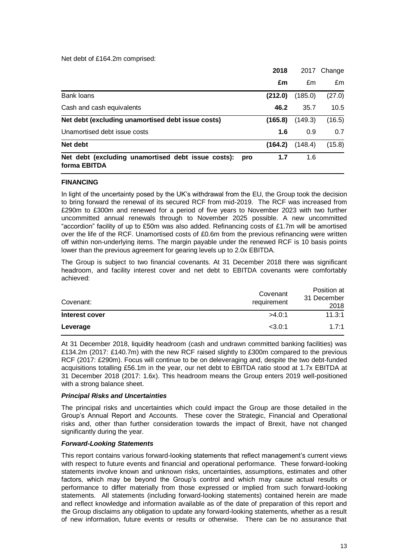Net debt of £164.2m comprised:

|                                                                           | 2018    | 2017    | Change |
|---------------------------------------------------------------------------|---------|---------|--------|
|                                                                           | £m      | £m      | £m     |
| Bank loans                                                                | (212.0) | (185.0) | (27.0) |
| Cash and cash equivalents                                                 | 46.2    | 35.7    | 10.5   |
| Net debt (excluding unamortised debt issue costs)                         | (165.8) | (149.3) | (16.5) |
| Unamortised debt issue costs                                              | 1.6     | 0.9     | 0.7    |
| Net debt                                                                  | (164.2) | (148.4) | (15.8) |
| Net debt (excluding unamortised debt issue costs):<br>pro<br>forma EBITDA | 1.7     | 1.6     |        |

#### **FINANCING**

In light of the uncertainty posed by the UK's withdrawal from the EU, the Group took the decision to bring forward the renewal of its secured RCF from mid-2019. The RCF was increased from £290m to £300m and renewed for a period of five years to November 2023 with two further uncommitted annual renewals through to November 2025 possible. A new uncommitted "accordion" facility of up to £50m was also added. Refinancing costs of £1.7m will be amortised over the life of the RCF. Unamortised costs of £0.6m from the previous refinancing were written off within non-underlying items. The margin payable under the renewed RCF is 10 basis points lower than the previous agreement for gearing levels up to 2.0x EBITDA.

The Group is subject to two financial covenants. At 31 December 2018 there was significant headroom, and facility interest cover and net debt to EBITDA covenants were comfortably achieved:

| Covenant:      | Covenant<br>requirement | Position at<br>31 December<br>2018 |
|----------------|-------------------------|------------------------------------|
| Interest cover | >4.0:1                  | 11.3:1                             |
| Leverage       | < 3.0:1                 | 1.7:1                              |

At 31 December 2018, liquidity headroom (cash and undrawn committed banking facilities) was £134.2m (2017: £140.7m) with the new RCF raised slightly to £300m compared to the previous RCF (2017: £290m). Focus will continue to be on deleveraging and, despite the two debt-funded acquisitions totalling £56.1m in the year, our net debt to EBITDA ratio stood at 1.7x EBITDA at 31 December 2018 (2017: 1.6x). This headroom means the Group enters 2019 well-positioned with a strong balance sheet.

#### *Principal Risks and Uncertainties*

The principal risks and uncertainties which could impact the Group are those detailed in the Group's Annual Report and Accounts. These cover the Strategic, Financial and Operational risks and, other than further consideration towards the impact of Brexit, have not changed significantly during the year.

#### *Forward-Looking Statements*

This report contains various forward-looking statements that reflect management's current views with respect to future events and financial and operational performance. These forward-looking statements involve known and unknown risks, uncertainties, assumptions, estimates and other factors, which may be beyond the Group's control and which may cause actual results or performance to differ materially from those expressed or implied from such forward-looking statements. All statements (including forward-looking statements) contained herein are made and reflect knowledge and information available as of the date of preparation of this report and the Group disclaims any obligation to update any forward-looking statements, whether as a result of new information, future events or results or otherwise. There can be no assurance that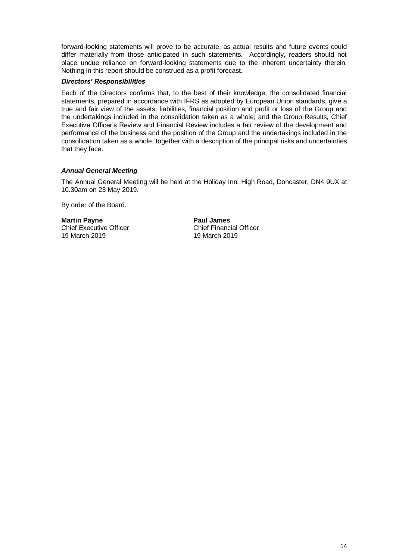forward-looking statements will prove to be accurate, as actual results and future events could differ materially from those anticipated in such statements. Accordingly, readers should not place undue reliance on forward-looking statements due to the inherent uncertainty therein. Nothing in this report should be construed as a profit forecast.

#### *Directors' Responsibilities*

Each of the Directors confirms that, to the best of their knowledge, the consolidated financial statements, prepared in accordance with IFRS as adopted by European Union standards, give a true and fair view of the assets, liabilities, financial position and profit or loss of the Group and the undertakings included in the consolidation taken as a whole; and the Group Results, Chief Executive Officer's Review and Financial Review includes a fair review of the development and performance of the business and the position of the Group and the undertakings included in the consolidation taken as a whole, together with a description of the principal risks and uncertainties that they face.

## *Annual General Meeting*

The Annual General Meeting will be held at the Holiday Inn, High Road, Doncaster, DN4 9UX at 10.30am on 23 May 2019.

By order of the Board.

**Martin Payne Paul James** Chief Executive Officer Chief Financial Officer 19 March 2019 19 March 2019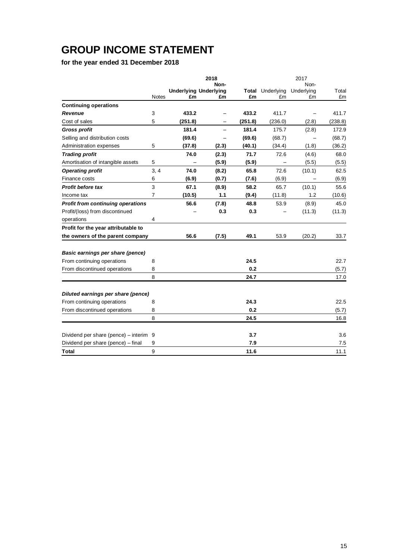# **GROUP INCOME STATEMENT**

**for the year ended 31 December 2018**

|                                          |              | 2018    |                                    |             |                  | 2017             |             |
|------------------------------------------|--------------|---------|------------------------------------|-------------|------------------|------------------|-------------|
|                                          |              |         | Non-                               |             |                  | Non-             |             |
|                                          | <b>Notes</b> | £m      | <b>Underlying Underlying</b><br>£m | Total<br>£m | Underlying<br>£m | Underlying<br>£m | Total<br>£m |
| <b>Continuing operations</b>             |              |         |                                    |             |                  |                  |             |
| Revenue                                  | 3            | 433.2   |                                    | 433.2       | 411.7            |                  | 411.7       |
| Cost of sales                            | 5            | (251.8) | $\qquad \qquad -$                  | (251.8)     | (236.0)          | (2.8)            | (238.8)     |
| <b>Gross profit</b>                      |              | 181.4   |                                    | 181.4       | 175.7            | (2.8)            | 172.9       |
| Selling and distribution costs           |              | (69.6)  |                                    | (69.6)      | (68.7)           |                  | (68.7)      |
| Administration expenses                  | 5            | (37.8)  | (2.3)                              | (40.1)      | (34.4)           | (1.8)            | (36.2)      |
| <b>Trading profit</b>                    |              | 74.0    | (2.3)                              | 71.7        | 72.6             | (4.6)            | 68.0        |
| Amortisation of intangible assets        | 5            |         | (5.9)                              | (5.9)       |                  | (5.5)            | (5.5)       |
| <b>Operating profit</b>                  | 3, 4         | 74.0    | (8.2)                              | 65.8        | 72.6             | (10.1)           | 62.5        |
| Finance costs                            | 6            | (6.9)   | (0.7)                              | (7.6)       | (6.9)            |                  | (6.9)       |
| <b>Profit before tax</b>                 | 3            | 67.1    | (8.9)                              | 58.2        | 65.7             | (10.1)           | 55.6        |
| Income tax                               | 7            | (10.5)  | 1.1                                | (9.4)       | (11.8)           | 1.2              | (10.6)      |
| <b>Profit from continuing operations</b> |              | 56.6    | (7.8)                              | 48.8        | 53.9             | (8.9)            | 45.0        |
| Profit/(loss) from discontinued          |              |         | 0.3                                | 0.3         |                  | (11.3)           | (11.3)      |
| operations                               | 4            |         |                                    |             |                  |                  |             |
| Profit for the year attributable to      |              |         |                                    |             |                  |                  |             |
| the owners of the parent company         |              | 56.6    | (7.5)                              | 49.1        | 53.9             | (20.2)           | 33.7        |
|                                          |              |         |                                    |             |                  |                  |             |
| Basic earnings per share (pence)         |              |         |                                    |             |                  |                  |             |
| From continuing operations               | 8            |         |                                    | 24.5        |                  |                  | 22.7        |
| From discontinued operations             | 8            |         |                                    | 0.2         |                  |                  | (5.7)       |
|                                          | 8            |         |                                    | 24.7        |                  |                  | 17.0        |
| Diluted earnings per share (pence)       |              |         |                                    |             |                  |                  |             |
| From continuing operations               | 8            |         |                                    | 24.3        |                  |                  | 22.5        |
| From discontinued operations             | 8            |         |                                    | 0.2         |                  |                  | (5.7)       |
|                                          | 8            |         |                                    | 24.5        |                  |                  | 16.8        |
| Dividend per share (pence) - interim 9   |              |         |                                    | 3.7         |                  |                  | 3.6         |
| Dividend per share (pence) - final       | 9            |         |                                    | 7.9         |                  |                  | 7.5         |
| Total                                    | 9            |         |                                    | 11.6        |                  |                  | 11.1        |
|                                          |              |         |                                    |             |                  |                  |             |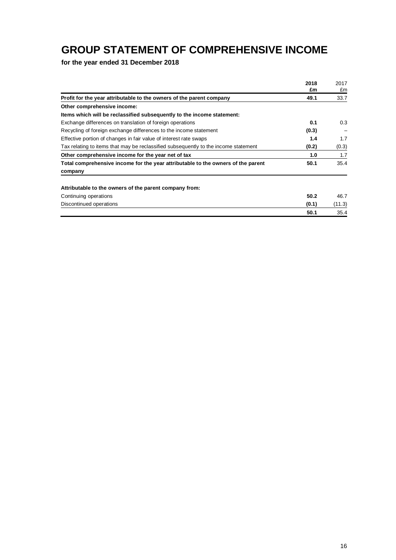## **GROUP STATEMENT OF COMPREHENSIVE INCOME**

**for the year ended 31 December 2018**

|                                                                                     | 2018<br>£m | 2017<br>£m |
|-------------------------------------------------------------------------------------|------------|------------|
| Profit for the year attributable to the owners of the parent company                | 49.1       | 33.7       |
| Other comprehensive income:                                                         |            |            |
| Items which will be reclassified subsequently to the income statement:              |            |            |
| Exchange differences on translation of foreign operations                           | 0.1        | 0.3        |
| Recycling of foreign exchange differences to the income statement                   | (0.3)      |            |
| Effective portion of changes in fair value of interest rate swaps                   | 1.4        | 1.7        |
| Tax relating to items that may be reclassified subsequently to the income statement | (0.2)      | (0.3)      |
| Other comprehensive income for the year net of tax                                  | 1.0        | 1.7        |
| Total comprehensive income for the year attributable to the owners of the parent    | 50.1       | 35.4       |
| company                                                                             |            |            |
| Attributable to the owners of the parent company from:                              |            |            |
| Continuing operations                                                               | 50.2       | 46.7       |
| Discontinued operations                                                             | (0.1)      | (11.3)     |
|                                                                                     | 50.1       | 35.4       |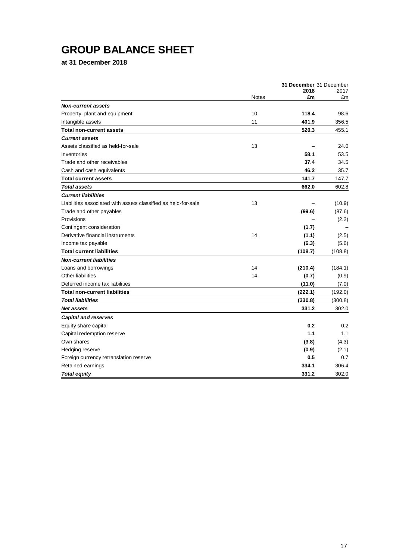# **GROUP BALANCE SHEET**

**at 31 December 2018**

|                                                                |       | 31 December 31 December |            |
|----------------------------------------------------------------|-------|-------------------------|------------|
|                                                                | Notes | 2018<br>£m              | 2017<br>£m |
| <b>Non-current assets</b>                                      |       |                         |            |
| Property, plant and equipment                                  | 10    | 118.4                   | 98.6       |
| Intangible assets                                              | 11    | 401.9                   | 356.5      |
| <b>Total non-current assets</b>                                |       | 520.3                   | 455.1      |
| <b>Current assets</b>                                          |       |                         |            |
| Assets classified as held-for-sale                             | 13    |                         | 24.0       |
| Inventories                                                    |       | 58.1                    | 53.5       |
| Trade and other receivables                                    |       | 37.4                    | 34.5       |
| Cash and cash equivalents                                      |       | 46.2                    | 35.7       |
| <b>Total current assets</b>                                    |       | 141.7                   | 147.7      |
| <b>Total assets</b>                                            |       | 662.0                   | 602.8      |
| <b>Current liabilities</b>                                     |       |                         |            |
| Liabilities associated with assets classified as held-for-sale | 13    |                         | (10.9)     |
| Trade and other payables                                       |       | (99.6)                  | (87.6)     |
| Provisions                                                     |       |                         | (2.2)      |
| Contingent consideration                                       |       | (1.7)                   |            |
| Derivative financial instruments                               | 14    | (1.1)                   | (2.5)      |
| Income tax payable                                             |       | (6.3)                   | (5.6)      |
| <b>Total current liabilities</b>                               |       | (108.7)                 | (108.8)    |
| <b>Non-current liabilities</b>                                 |       |                         |            |
| Loans and borrowings                                           | 14    | (210.4)                 | (184.1)    |
| Other liabilities                                              | 14    | (0.7)                   | (0.9)      |
| Deferred income tax liabilities                                |       | (11.0)                  | (7.0)      |
| <b>Total non-current liabilities</b>                           |       | (222.1)                 | (192.0)    |
| <b>Total liabilities</b>                                       |       | (330.8)                 | (300.8)    |
| Net assets                                                     |       | 331.2                   | 302.0      |
| <b>Capital and reserves</b>                                    |       |                         |            |
| Equity share capital                                           |       | 0.2                     | 0.2        |
| Capital redemption reserve                                     |       | 1.1                     | 1.1        |
| Own shares                                                     |       | (3.8)                   | (4.3)      |
| Hedging reserve                                                |       | (0.9)                   | (2.1)      |
| Foreign currency retranslation reserve                         |       | 0.5                     | 0.7        |
| Retained earnings                                              |       | 334.1                   | 306.4      |
| <b>Total equity</b>                                            |       | 331.2                   | 302.0      |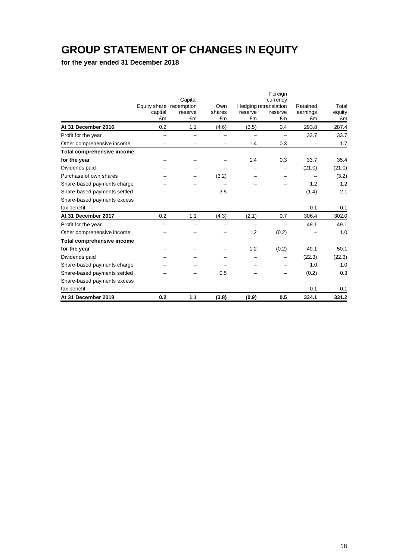## **GROUP STATEMENT OF CHANGES IN EQUITY**

**for the year ended 31 December 2018**

|                                   |                         |         |        |         | Foreign                           |          |        |
|-----------------------------------|-------------------------|---------|--------|---------|-----------------------------------|----------|--------|
|                                   | Equity share redemption | Capital | Own    |         | currency<br>Hedging retranslation | Retained | Total  |
|                                   | capital                 | reserve | shares | reserve | reserve                           | earnings | equity |
|                                   | £m                      | £m      | £m     | £m      | £m                                | £m       | £m     |
| At 31 December 2016               | 0.2                     | 1.1     | (4.6)  | (3.5)   | 0.4                               | 293.8    | 287.4  |
| Profit for the year               |                         |         |        |         |                                   | 33.7     | 33.7   |
| Other comprehensive income        |                         |         |        | 1.4     | 0.3                               |          | 1.7    |
| <b>Total comprehensive income</b> |                         |         |        |         |                                   |          |        |
| for the year                      |                         |         |        | 1.4     | 0.3                               | 33.7     | 35.4   |
| Dividends paid                    |                         |         |        |         |                                   | (21.0)   | (21.0) |
| Purchase of own shares            |                         |         | (3.2)  |         |                                   |          | (3.2)  |
| Share-based payments charge       |                         |         |        |         |                                   | 1.2      | 1.2    |
| Share-based payments settled      |                         |         | 3.5    |         |                                   | (1.4)    | 2.1    |
| Share-based payments excess       |                         |         |        |         |                                   |          |        |
| tax benefit                       |                         |         |        |         |                                   | 0.1      | 0.1    |
| At 31 December 2017               | 0.2                     | 1.1     | (4.3)  | (2.1)   | 0.7                               | 306.4    | 302.0  |
| Profit for the year               |                         |         |        |         |                                   | 49.1     | 49.1   |
| Other comprehensive income        |                         |         |        | 1.2     | (0.2)                             |          | 1.0    |
| <b>Total comprehensive income</b> |                         |         |        |         |                                   |          |        |
| for the year                      |                         |         |        | 1.2     | (0.2)                             | 49.1     | 50.1   |
| Dividends paid                    |                         |         |        |         |                                   | (22.3)   | (22.3) |
| Share-based payments charge       |                         |         |        |         |                                   | 1.0      | 1.0    |
| Share-based payments settled      |                         |         | 0.5    |         |                                   | (0.2)    | 0.3    |
| Share-based payments excess       |                         |         |        |         |                                   |          |        |
| tax benefit                       |                         |         |        |         |                                   | 0.1      | 0.1    |
| At 31 December 2018               | 0.2                     | 1.1     | (3.8)  | (0.9)   | 0.5                               | 334.1    | 331.2  |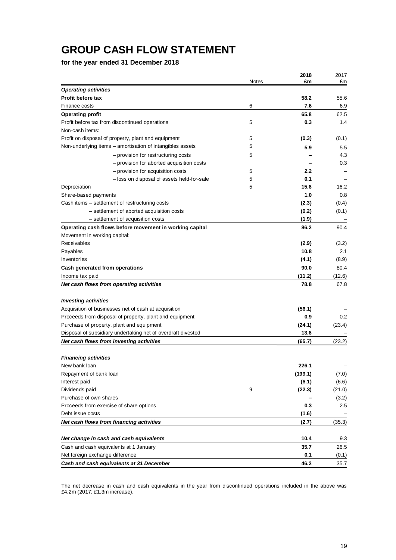## **GROUP CASH FLOW STATEMENT**

**for the year ended 31 December 2018**

| <b>Notes</b><br>£m<br>£m<br><b>Operating activities</b><br>Profit before tax<br>58.2<br>55.6<br>7.6<br>6<br>6.9<br>Finance costs<br>65.8<br>62.5<br><b>Operating profit</b><br>Profit before tax from discontinued operations<br>5<br>0.3<br>1.4<br>Non-cash items:<br>Profit on disposal of property, plant and equipment<br>5<br>(0.3)<br>5<br>Non-underlying items - amortisation of intangibles assets<br>5.9<br>5.5<br>5<br>4.3<br>- provision for restructuring costs<br>- provision for aborted acquisition costs<br>0.3<br>- provision for acquisition costs<br>5<br>$2.2^{\circ}$<br>5<br>0.1<br>- loss on disposal of assets held-for-sale<br>5<br>15.6<br>Depreciation<br>16.2<br>Share-based payments<br>1.0<br>0.8<br>Cash items - settlement of restructuring costs<br>(2.3)<br>(0.4)<br>- settlement of aborted acquisition costs<br>(0.2)<br>(0.1)<br>(1.9)<br>- settlement of acquisition costs<br>Operating cash flows before movement in working capital<br>86.2<br>90.4<br>Movement in working capital:<br>Receivables<br>(2.9)<br>(3.2)<br>10.8<br>Payables<br>2.1<br>Inventories<br>(4.1)<br>(8.9)<br>90.0<br>Cash generated from operations<br>80.4<br>(11.2)<br>Income tax paid<br>(12.6)<br>Net cash flows from operating activities<br>78.8<br>67.8<br><b>Investing activities</b><br>Acquisition of businesses net of cash at acquisition<br>(56.1)<br>Proceeds from disposal of property, plant and equipment<br>0.9<br>0.2<br>Purchase of property, plant and equipment<br>(24.1)<br>(23.4)<br>13.6<br>Disposal of subsidiary undertaking net of overdraft divested<br>Net cash flows from investing activities<br>(65.7)<br>(23.2)<br><b>Financing activities</b><br>New bank loan<br>226.1<br>Repayment of bank loan<br>(199.1)<br>(7.0)<br>Interest paid<br>(6.1)<br>(6.6)<br>Dividends paid<br>9<br>(22.3)<br>(21.0)<br>Purchase of own shares<br>(3.2)<br>Proceeds from exercise of share options<br>0.3<br>2.5<br>Debt issue costs<br>(1.6)<br>Net cash flows from financing activities<br>(2.7)<br>(35.3)<br>Net change in cash and cash equivalents<br>10.4<br>9.3<br>26.5<br>Cash and cash equivalents at 1 January<br>35.7<br>Net foreign exchange difference<br>0.1<br>(0.1)<br>46.2<br>Cash and cash equivalents at 31 December<br>35.7 |  | 2018 | 2017  |
|----------------------------------------------------------------------------------------------------------------------------------------------------------------------------------------------------------------------------------------------------------------------------------------------------------------------------------------------------------------------------------------------------------------------------------------------------------------------------------------------------------------------------------------------------------------------------------------------------------------------------------------------------------------------------------------------------------------------------------------------------------------------------------------------------------------------------------------------------------------------------------------------------------------------------------------------------------------------------------------------------------------------------------------------------------------------------------------------------------------------------------------------------------------------------------------------------------------------------------------------------------------------------------------------------------------------------------------------------------------------------------------------------------------------------------------------------------------------------------------------------------------------------------------------------------------------------------------------------------------------------------------------------------------------------------------------------------------------------------------------------------------------------------------------------------------------------------------------------------------------------------------------------------------------------------------------------------------------------------------------------------------------------------------------------------------------------------------------------------------------------------------------------------------------------------------------------------------------------------------------------------------------------------|--|------|-------|
|                                                                                                                                                                                                                                                                                                                                                                                                                                                                                                                                                                                                                                                                                                                                                                                                                                                                                                                                                                                                                                                                                                                                                                                                                                                                                                                                                                                                                                                                                                                                                                                                                                                                                                                                                                                                                                                                                                                                                                                                                                                                                                                                                                                                                                                                                  |  |      |       |
|                                                                                                                                                                                                                                                                                                                                                                                                                                                                                                                                                                                                                                                                                                                                                                                                                                                                                                                                                                                                                                                                                                                                                                                                                                                                                                                                                                                                                                                                                                                                                                                                                                                                                                                                                                                                                                                                                                                                                                                                                                                                                                                                                                                                                                                                                  |  |      |       |
|                                                                                                                                                                                                                                                                                                                                                                                                                                                                                                                                                                                                                                                                                                                                                                                                                                                                                                                                                                                                                                                                                                                                                                                                                                                                                                                                                                                                                                                                                                                                                                                                                                                                                                                                                                                                                                                                                                                                                                                                                                                                                                                                                                                                                                                                                  |  |      |       |
|                                                                                                                                                                                                                                                                                                                                                                                                                                                                                                                                                                                                                                                                                                                                                                                                                                                                                                                                                                                                                                                                                                                                                                                                                                                                                                                                                                                                                                                                                                                                                                                                                                                                                                                                                                                                                                                                                                                                                                                                                                                                                                                                                                                                                                                                                  |  |      |       |
|                                                                                                                                                                                                                                                                                                                                                                                                                                                                                                                                                                                                                                                                                                                                                                                                                                                                                                                                                                                                                                                                                                                                                                                                                                                                                                                                                                                                                                                                                                                                                                                                                                                                                                                                                                                                                                                                                                                                                                                                                                                                                                                                                                                                                                                                                  |  |      |       |
|                                                                                                                                                                                                                                                                                                                                                                                                                                                                                                                                                                                                                                                                                                                                                                                                                                                                                                                                                                                                                                                                                                                                                                                                                                                                                                                                                                                                                                                                                                                                                                                                                                                                                                                                                                                                                                                                                                                                                                                                                                                                                                                                                                                                                                                                                  |  |      |       |
|                                                                                                                                                                                                                                                                                                                                                                                                                                                                                                                                                                                                                                                                                                                                                                                                                                                                                                                                                                                                                                                                                                                                                                                                                                                                                                                                                                                                                                                                                                                                                                                                                                                                                                                                                                                                                                                                                                                                                                                                                                                                                                                                                                                                                                                                                  |  |      |       |
|                                                                                                                                                                                                                                                                                                                                                                                                                                                                                                                                                                                                                                                                                                                                                                                                                                                                                                                                                                                                                                                                                                                                                                                                                                                                                                                                                                                                                                                                                                                                                                                                                                                                                                                                                                                                                                                                                                                                                                                                                                                                                                                                                                                                                                                                                  |  |      | (0.1) |
|                                                                                                                                                                                                                                                                                                                                                                                                                                                                                                                                                                                                                                                                                                                                                                                                                                                                                                                                                                                                                                                                                                                                                                                                                                                                                                                                                                                                                                                                                                                                                                                                                                                                                                                                                                                                                                                                                                                                                                                                                                                                                                                                                                                                                                                                                  |  |      |       |
|                                                                                                                                                                                                                                                                                                                                                                                                                                                                                                                                                                                                                                                                                                                                                                                                                                                                                                                                                                                                                                                                                                                                                                                                                                                                                                                                                                                                                                                                                                                                                                                                                                                                                                                                                                                                                                                                                                                                                                                                                                                                                                                                                                                                                                                                                  |  |      |       |
|                                                                                                                                                                                                                                                                                                                                                                                                                                                                                                                                                                                                                                                                                                                                                                                                                                                                                                                                                                                                                                                                                                                                                                                                                                                                                                                                                                                                                                                                                                                                                                                                                                                                                                                                                                                                                                                                                                                                                                                                                                                                                                                                                                                                                                                                                  |  |      |       |
|                                                                                                                                                                                                                                                                                                                                                                                                                                                                                                                                                                                                                                                                                                                                                                                                                                                                                                                                                                                                                                                                                                                                                                                                                                                                                                                                                                                                                                                                                                                                                                                                                                                                                                                                                                                                                                                                                                                                                                                                                                                                                                                                                                                                                                                                                  |  |      |       |
|                                                                                                                                                                                                                                                                                                                                                                                                                                                                                                                                                                                                                                                                                                                                                                                                                                                                                                                                                                                                                                                                                                                                                                                                                                                                                                                                                                                                                                                                                                                                                                                                                                                                                                                                                                                                                                                                                                                                                                                                                                                                                                                                                                                                                                                                                  |  |      |       |
|                                                                                                                                                                                                                                                                                                                                                                                                                                                                                                                                                                                                                                                                                                                                                                                                                                                                                                                                                                                                                                                                                                                                                                                                                                                                                                                                                                                                                                                                                                                                                                                                                                                                                                                                                                                                                                                                                                                                                                                                                                                                                                                                                                                                                                                                                  |  |      |       |
|                                                                                                                                                                                                                                                                                                                                                                                                                                                                                                                                                                                                                                                                                                                                                                                                                                                                                                                                                                                                                                                                                                                                                                                                                                                                                                                                                                                                                                                                                                                                                                                                                                                                                                                                                                                                                                                                                                                                                                                                                                                                                                                                                                                                                                                                                  |  |      |       |
|                                                                                                                                                                                                                                                                                                                                                                                                                                                                                                                                                                                                                                                                                                                                                                                                                                                                                                                                                                                                                                                                                                                                                                                                                                                                                                                                                                                                                                                                                                                                                                                                                                                                                                                                                                                                                                                                                                                                                                                                                                                                                                                                                                                                                                                                                  |  |      |       |
|                                                                                                                                                                                                                                                                                                                                                                                                                                                                                                                                                                                                                                                                                                                                                                                                                                                                                                                                                                                                                                                                                                                                                                                                                                                                                                                                                                                                                                                                                                                                                                                                                                                                                                                                                                                                                                                                                                                                                                                                                                                                                                                                                                                                                                                                                  |  |      |       |
|                                                                                                                                                                                                                                                                                                                                                                                                                                                                                                                                                                                                                                                                                                                                                                                                                                                                                                                                                                                                                                                                                                                                                                                                                                                                                                                                                                                                                                                                                                                                                                                                                                                                                                                                                                                                                                                                                                                                                                                                                                                                                                                                                                                                                                                                                  |  |      |       |
|                                                                                                                                                                                                                                                                                                                                                                                                                                                                                                                                                                                                                                                                                                                                                                                                                                                                                                                                                                                                                                                                                                                                                                                                                                                                                                                                                                                                                                                                                                                                                                                                                                                                                                                                                                                                                                                                                                                                                                                                                                                                                                                                                                                                                                                                                  |  |      |       |
|                                                                                                                                                                                                                                                                                                                                                                                                                                                                                                                                                                                                                                                                                                                                                                                                                                                                                                                                                                                                                                                                                                                                                                                                                                                                                                                                                                                                                                                                                                                                                                                                                                                                                                                                                                                                                                                                                                                                                                                                                                                                                                                                                                                                                                                                                  |  |      |       |
|                                                                                                                                                                                                                                                                                                                                                                                                                                                                                                                                                                                                                                                                                                                                                                                                                                                                                                                                                                                                                                                                                                                                                                                                                                                                                                                                                                                                                                                                                                                                                                                                                                                                                                                                                                                                                                                                                                                                                                                                                                                                                                                                                                                                                                                                                  |  |      |       |
|                                                                                                                                                                                                                                                                                                                                                                                                                                                                                                                                                                                                                                                                                                                                                                                                                                                                                                                                                                                                                                                                                                                                                                                                                                                                                                                                                                                                                                                                                                                                                                                                                                                                                                                                                                                                                                                                                                                                                                                                                                                                                                                                                                                                                                                                                  |  |      |       |
|                                                                                                                                                                                                                                                                                                                                                                                                                                                                                                                                                                                                                                                                                                                                                                                                                                                                                                                                                                                                                                                                                                                                                                                                                                                                                                                                                                                                                                                                                                                                                                                                                                                                                                                                                                                                                                                                                                                                                                                                                                                                                                                                                                                                                                                                                  |  |      |       |
|                                                                                                                                                                                                                                                                                                                                                                                                                                                                                                                                                                                                                                                                                                                                                                                                                                                                                                                                                                                                                                                                                                                                                                                                                                                                                                                                                                                                                                                                                                                                                                                                                                                                                                                                                                                                                                                                                                                                                                                                                                                                                                                                                                                                                                                                                  |  |      |       |
|                                                                                                                                                                                                                                                                                                                                                                                                                                                                                                                                                                                                                                                                                                                                                                                                                                                                                                                                                                                                                                                                                                                                                                                                                                                                                                                                                                                                                                                                                                                                                                                                                                                                                                                                                                                                                                                                                                                                                                                                                                                                                                                                                                                                                                                                                  |  |      |       |
|                                                                                                                                                                                                                                                                                                                                                                                                                                                                                                                                                                                                                                                                                                                                                                                                                                                                                                                                                                                                                                                                                                                                                                                                                                                                                                                                                                                                                                                                                                                                                                                                                                                                                                                                                                                                                                                                                                                                                                                                                                                                                                                                                                                                                                                                                  |  |      |       |
|                                                                                                                                                                                                                                                                                                                                                                                                                                                                                                                                                                                                                                                                                                                                                                                                                                                                                                                                                                                                                                                                                                                                                                                                                                                                                                                                                                                                                                                                                                                                                                                                                                                                                                                                                                                                                                                                                                                                                                                                                                                                                                                                                                                                                                                                                  |  |      |       |
|                                                                                                                                                                                                                                                                                                                                                                                                                                                                                                                                                                                                                                                                                                                                                                                                                                                                                                                                                                                                                                                                                                                                                                                                                                                                                                                                                                                                                                                                                                                                                                                                                                                                                                                                                                                                                                                                                                                                                                                                                                                                                                                                                                                                                                                                                  |  |      |       |
|                                                                                                                                                                                                                                                                                                                                                                                                                                                                                                                                                                                                                                                                                                                                                                                                                                                                                                                                                                                                                                                                                                                                                                                                                                                                                                                                                                                                                                                                                                                                                                                                                                                                                                                                                                                                                                                                                                                                                                                                                                                                                                                                                                                                                                                                                  |  |      |       |
|                                                                                                                                                                                                                                                                                                                                                                                                                                                                                                                                                                                                                                                                                                                                                                                                                                                                                                                                                                                                                                                                                                                                                                                                                                                                                                                                                                                                                                                                                                                                                                                                                                                                                                                                                                                                                                                                                                                                                                                                                                                                                                                                                                                                                                                                                  |  |      |       |
|                                                                                                                                                                                                                                                                                                                                                                                                                                                                                                                                                                                                                                                                                                                                                                                                                                                                                                                                                                                                                                                                                                                                                                                                                                                                                                                                                                                                                                                                                                                                                                                                                                                                                                                                                                                                                                                                                                                                                                                                                                                                                                                                                                                                                                                                                  |  |      |       |
|                                                                                                                                                                                                                                                                                                                                                                                                                                                                                                                                                                                                                                                                                                                                                                                                                                                                                                                                                                                                                                                                                                                                                                                                                                                                                                                                                                                                                                                                                                                                                                                                                                                                                                                                                                                                                                                                                                                                                                                                                                                                                                                                                                                                                                                                                  |  |      |       |
|                                                                                                                                                                                                                                                                                                                                                                                                                                                                                                                                                                                                                                                                                                                                                                                                                                                                                                                                                                                                                                                                                                                                                                                                                                                                                                                                                                                                                                                                                                                                                                                                                                                                                                                                                                                                                                                                                                                                                                                                                                                                                                                                                                                                                                                                                  |  |      |       |
|                                                                                                                                                                                                                                                                                                                                                                                                                                                                                                                                                                                                                                                                                                                                                                                                                                                                                                                                                                                                                                                                                                                                                                                                                                                                                                                                                                                                                                                                                                                                                                                                                                                                                                                                                                                                                                                                                                                                                                                                                                                                                                                                                                                                                                                                                  |  |      |       |
|                                                                                                                                                                                                                                                                                                                                                                                                                                                                                                                                                                                                                                                                                                                                                                                                                                                                                                                                                                                                                                                                                                                                                                                                                                                                                                                                                                                                                                                                                                                                                                                                                                                                                                                                                                                                                                                                                                                                                                                                                                                                                                                                                                                                                                                                                  |  |      |       |
|                                                                                                                                                                                                                                                                                                                                                                                                                                                                                                                                                                                                                                                                                                                                                                                                                                                                                                                                                                                                                                                                                                                                                                                                                                                                                                                                                                                                                                                                                                                                                                                                                                                                                                                                                                                                                                                                                                                                                                                                                                                                                                                                                                                                                                                                                  |  |      |       |
|                                                                                                                                                                                                                                                                                                                                                                                                                                                                                                                                                                                                                                                                                                                                                                                                                                                                                                                                                                                                                                                                                                                                                                                                                                                                                                                                                                                                                                                                                                                                                                                                                                                                                                                                                                                                                                                                                                                                                                                                                                                                                                                                                                                                                                                                                  |  |      |       |
|                                                                                                                                                                                                                                                                                                                                                                                                                                                                                                                                                                                                                                                                                                                                                                                                                                                                                                                                                                                                                                                                                                                                                                                                                                                                                                                                                                                                                                                                                                                                                                                                                                                                                                                                                                                                                                                                                                                                                                                                                                                                                                                                                                                                                                                                                  |  |      |       |
|                                                                                                                                                                                                                                                                                                                                                                                                                                                                                                                                                                                                                                                                                                                                                                                                                                                                                                                                                                                                                                                                                                                                                                                                                                                                                                                                                                                                                                                                                                                                                                                                                                                                                                                                                                                                                                                                                                                                                                                                                                                                                                                                                                                                                                                                                  |  |      |       |
|                                                                                                                                                                                                                                                                                                                                                                                                                                                                                                                                                                                                                                                                                                                                                                                                                                                                                                                                                                                                                                                                                                                                                                                                                                                                                                                                                                                                                                                                                                                                                                                                                                                                                                                                                                                                                                                                                                                                                                                                                                                                                                                                                                                                                                                                                  |  |      |       |
|                                                                                                                                                                                                                                                                                                                                                                                                                                                                                                                                                                                                                                                                                                                                                                                                                                                                                                                                                                                                                                                                                                                                                                                                                                                                                                                                                                                                                                                                                                                                                                                                                                                                                                                                                                                                                                                                                                                                                                                                                                                                                                                                                                                                                                                                                  |  |      |       |
|                                                                                                                                                                                                                                                                                                                                                                                                                                                                                                                                                                                                                                                                                                                                                                                                                                                                                                                                                                                                                                                                                                                                                                                                                                                                                                                                                                                                                                                                                                                                                                                                                                                                                                                                                                                                                                                                                                                                                                                                                                                                                                                                                                                                                                                                                  |  |      |       |
|                                                                                                                                                                                                                                                                                                                                                                                                                                                                                                                                                                                                                                                                                                                                                                                                                                                                                                                                                                                                                                                                                                                                                                                                                                                                                                                                                                                                                                                                                                                                                                                                                                                                                                                                                                                                                                                                                                                                                                                                                                                                                                                                                                                                                                                                                  |  |      |       |
|                                                                                                                                                                                                                                                                                                                                                                                                                                                                                                                                                                                                                                                                                                                                                                                                                                                                                                                                                                                                                                                                                                                                                                                                                                                                                                                                                                                                                                                                                                                                                                                                                                                                                                                                                                                                                                                                                                                                                                                                                                                                                                                                                                                                                                                                                  |  |      |       |
|                                                                                                                                                                                                                                                                                                                                                                                                                                                                                                                                                                                                                                                                                                                                                                                                                                                                                                                                                                                                                                                                                                                                                                                                                                                                                                                                                                                                                                                                                                                                                                                                                                                                                                                                                                                                                                                                                                                                                                                                                                                                                                                                                                                                                                                                                  |  |      |       |
|                                                                                                                                                                                                                                                                                                                                                                                                                                                                                                                                                                                                                                                                                                                                                                                                                                                                                                                                                                                                                                                                                                                                                                                                                                                                                                                                                                                                                                                                                                                                                                                                                                                                                                                                                                                                                                                                                                                                                                                                                                                                                                                                                                                                                                                                                  |  |      |       |
|                                                                                                                                                                                                                                                                                                                                                                                                                                                                                                                                                                                                                                                                                                                                                                                                                                                                                                                                                                                                                                                                                                                                                                                                                                                                                                                                                                                                                                                                                                                                                                                                                                                                                                                                                                                                                                                                                                                                                                                                                                                                                                                                                                                                                                                                                  |  |      |       |
|                                                                                                                                                                                                                                                                                                                                                                                                                                                                                                                                                                                                                                                                                                                                                                                                                                                                                                                                                                                                                                                                                                                                                                                                                                                                                                                                                                                                                                                                                                                                                                                                                                                                                                                                                                                                                                                                                                                                                                                                                                                                                                                                                                                                                                                                                  |  |      |       |

The net decrease in cash and cash equivalents in the year from discontinued operations included in the above was £4.2m (2017: £1.3m increase).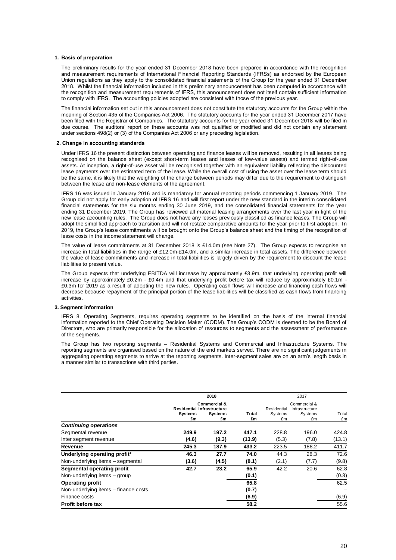#### **1. Basis of preparation**

The preliminary results for the year ended 31 December 2018 have been prepared in accordance with the recognition and measurement requirements of International Financial Reporting Standards (IFRSs) as endorsed by the European Union regulations as they apply to the consolidated financial statements of the Group for the year ended 31 December 2018. Whilst the financial information included in this preliminary announcement has been computed in accordance with the recognition and measurement requirements of IFRS, this announcement does not itself contain sufficient information to comply with IFRS. The accounting policies adopted are consistent with those of the previous year.

The financial information set out in this announcement does not constitute the statutory accounts for the Group within the meaning of Section 435 of the Companies Act 2006. The statutory accounts for the year ended 31 December 2017 have been filed with the Registrar of Companies. The statutory accounts for the year ended 31 December 2018 will be filed in due course. The auditors' report on these accounts was not qualified or modified and did not contain any statement under sections 498(2) or (3) of the Companies Act 2006 or any preceding legislation.

#### **2. Change in accounting standards**

Under IFRS 16 the present distinction between operating and finance leases will be removed, resulting in all leases being recognised on the balance sheet (except short-term leases and leases of low-value assets) and termed right-of-use assets. At inception, a right-of-use asset will be recognised together with an equivalent liability reflecting the discounted lease payments over the estimated term of the lease. While the overall cost of using the asset over the lease term should be the same, it is likely that the weighting of the charge between periods may differ due to the requirement to distinguish between the lease and non-lease elements of the agreement.

IFRS 16 was issued in January 2016 and is mandatory for annual reporting periods commencing 1 January 2019. The Group did not apply for early adoption of IFRS 16 and will first report under the new standard in the interim consolidated financial statements for the six months ending 30 June 2019, and the consolidated financial statements for the year ending 31 December 2019. The Group has reviewed all material leasing arrangements over the last year in light of the new lease accounting rules. The Group does not have any leases previously classified as finance leases. The Group will adopt the simplified approach to transition and will not restate comparative amounts for the year prior to first adoption. In 2019, the Group's lease commitments will be brought onto the Group's balance sheet and the timing of the recognition of lease costs in the income statement will change.

The value of lease commitments at 31 December 2018 is £14.0m (see Note 27). The Group expects to recognise an increase in total liabilities in the range of £12.0m-£14.0m, and a similar increase in total assets. The difference between the value of lease commitments and increase in total liabilities is largely driven by the requirement to discount the lease liabilities to present value.

The Group expects that underlying EBITDA will increase by approximately £3.9m, that underlying operating profit will increase by approximately £0.2m - £0.4m and that underlying profit before tax will reduce by approximately £0.1m - £0.3m for 2019 as a result of adopting the new rules. Operating cash flows will increase and financing cash flows will decrease because repayment of the principal portion of the lease liabilities will be classified as cash flows from financing activities.

#### **3. Segment information**

IFRS 8, Operating Segments, requires operating segments to be identified on the basis of the internal financial information reported to the Chief Operating Decision Maker (CODM). The Group's CODM is deemed to be the Board of Directors, who are primarily responsible for the allocation of resources to segments and the assessment of performance of the segments.

The Group has two reporting segments – Residential Systems and Commercial and Infrastructure Systems. The reporting segments are organised based on the nature of the end markets served. There are no significant judgements in aggregating operating segments to arrive at the reporting segments. Inter-segment sales are on an arm's length basis in a manner similar to transactions with third parties.

|                                      | 2018                                                      |                                                 |             |                              | 2017                                            |             |
|--------------------------------------|-----------------------------------------------------------|-------------------------------------------------|-------------|------------------------------|-------------------------------------------------|-------------|
|                                      | <b>Residential Infrastructure</b><br><b>Systems</b><br>£m | <b>Commercial &amp;</b><br><b>Systems</b><br>£m | Total<br>£m | Residential<br>Systems<br>£m | Commercial &<br>Infrastructure<br>Systems<br>£m | Total<br>£m |
| <b>Continuing operations</b>         |                                                           |                                                 |             |                              |                                                 |             |
| Segmental revenue                    | 249.9                                                     | 197.2                                           | 447.1       | 228.8                        | 196.0                                           | 424.8       |
| Inter segment revenue                | (4.6)                                                     | (9.3)                                           | (13.9)      | (5.3)                        | (7.8)                                           | (13.1)      |
| Revenue                              | 245.3                                                     | 187.9                                           | 433.2       | 223.5                        | 188.2                                           | 411.7       |
| Underlying operating profit*         | 46.3                                                      | 27.7                                            | 74.0        | 44.3                         | 28.3                                            | 72.6        |
| Non-underlying items - segmental     | (3.6)                                                     | (4.5)                                           | (8.1)       | (2.1)                        | (7.7)                                           | (9.8)       |
| Segmental operating profit           | 42.7                                                      | 23.2                                            | 65.9        | 42.2                         | 20.6                                            | 62.8        |
| Non-underlying items - group         |                                                           |                                                 | (0.1)       |                              |                                                 | (0.3)       |
| <b>Operating profit</b>              |                                                           |                                                 | 65.8        |                              |                                                 | 62.5        |
| Non-underlying items - finance costs |                                                           |                                                 | (0.7)       |                              |                                                 |             |
| Finance costs                        |                                                           |                                                 | (6.9)       |                              |                                                 | (6.9)       |
| <b>Profit before tax</b>             |                                                           |                                                 | 58.2        |                              |                                                 | 55.6        |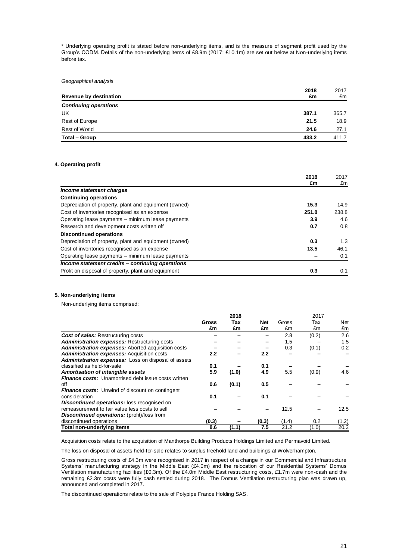\* Underlying operating profit is stated before non-underlying items, and is the measure of segment profit used by the Group's CODM. Details of the non-underlying items of £8.9m (2017: £10.1m) are set out below at Non-underlying items before tax.

#### *Geographical analysis*

| 2018                         | 2017  |
|------------------------------|-------|
| Revenue by destination<br>£m | £m    |
| <b>Continuing operations</b> |       |
| UK<br>387.1                  | 365.7 |
| Rest of Europe<br>21.5       | 18.9  |
| Rest of World<br>24.6        | 27.1  |
| Total - Group<br>433.2       | 411.7 |

#### **4. Operating profit**

|                                                       | 2018  | 2017  |
|-------------------------------------------------------|-------|-------|
|                                                       | £m    | £m    |
| Income statement charges                              |       |       |
| <b>Continuing operations</b>                          |       |       |
| Depreciation of property, plant and equipment (owned) | 15.3  | 14.9  |
| Cost of inventories recognised as an expense          | 251.8 | 238.8 |
| Operating lease payments – minimum lease payments     | 3.9   | 4.6   |
| Research and development costs written off            | 0.7   | 0.8   |
| <b>Discontinued operations</b>                        |       |       |
| Depreciation of property, plant and equipment (owned) | 0.3   | 1.3   |
| Cost of inventories recognised as an expense          | 13.5  | 46.1  |
| Operating lease payments – minimum lease payments     |       | 0.1   |
| Income statement credits - continuing operations      |       |       |
| Profit on disposal of property, plant and equipment   | 0.3   | 0.1   |

#### **5. Non-underlying items**

Non-underlying items comprised:

|                                                            | 2018        |           |           |             | 2017      |           |  |
|------------------------------------------------------------|-------------|-----------|-----------|-------------|-----------|-----------|--|
|                                                            | Gross<br>£m | Tax<br>£m | Net<br>£m | Gross<br>£m | Tax<br>£m | Net<br>£m |  |
| <b>Cost of sales: Restructuring costs</b>                  |             |           |           | 2.8         | (0.2)     | 2.6       |  |
| Administration expenses: Restructuring costs               |             |           |           | 1.5         |           | 1.5       |  |
| Administration expenses: Aborted acquisition costs         |             |           |           | 0.3         | (0.1)     | 0.2       |  |
| Administration expenses: Acquisition costs                 | 2.2         |           | 2.2       |             |           |           |  |
| <b>Administration expenses:</b> Loss on disposal of assets |             |           |           |             |           |           |  |
| classified as held-for-sale                                | 0.1         |           | 0.1       |             |           |           |  |
| Amortisation of intangible assets                          | 5.9         | (1.0)     | 4.9       | 5.5         | (0.9)     | 4.6       |  |
| <b>Finance costs:</b> Unamortised debt issue costs written |             |           |           |             |           |           |  |
| off                                                        | 0.6         | (0.1)     | 0.5       |             |           |           |  |
| <b>Finance costs:</b> Unwind of discount on contingent     |             |           |           |             |           |           |  |
| consideration                                              | 0.1         |           | 0.1       |             |           |           |  |
| <b>Discontinued operations:</b> loss recognised on         |             |           |           |             |           |           |  |
| remeasurement to fair value less costs to sell             |             |           |           | 12.5        |           | 12.5      |  |
| <b>Discontinued operations:</b> (profit)/loss from         |             |           |           |             |           |           |  |
| discontinued operations                                    | (0.3)       |           | (0.3)     | (1.4)       | 0.2       | (1.2)     |  |
| Total non-underlying items                                 | 8.6         | (1.1)     | 7.5       | 21.2        | (1.0)     | 20.2      |  |

Acquisition costs relate to the acquisition of Manthorpe Building Products Holdings Limited and Permavoid Limited.

The loss on disposal of assets held-for-sale relates to surplus freehold land and buildings at Wolverhampton.

Gross restructuring costs of £4.3m were recognised in 2017 in respect of a change in our Commercial and Infrastructure Systems' manufacturing strategy in the Middle East (£4.0m) and the relocation of our Residential Systems' Domus Ventilation manufacturing facilities (£0.3m). Of the £4.0m Middle East restructuring costs, £1.7m were non-cash and the remaining £2.3m costs were fully cash settled during 2018. The Domus Ventilation restructuring plan was drawn up, announced and completed in 2017.

The discontinued operations relate to the sale of Polypipe France Holding SAS.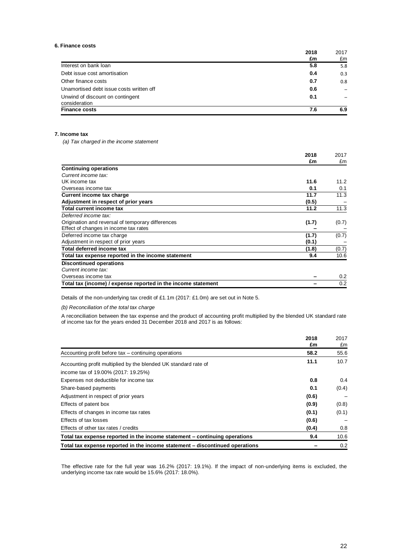#### **6. Finance costs**

|                                                   | 2018<br>£m | 2017<br>£m |
|---------------------------------------------------|------------|------------|
| Interest on bank loan                             | 5.8        | 5.8        |
| Debt issue cost amortisation                      | 0.4        | 0.3        |
| Other finance costs                               | 0.7        | 0.8        |
| Unamortised debt issue costs written off          | 0.6        |            |
| Unwind of discount on contingent<br>consideration | 0.1        |            |
| <b>Finance costs</b>                              | 7.6        | 6.9        |

#### **7. Income tax**

*(a) Tax charged in the income statement*

|                                                               | 2018  | 2017  |
|---------------------------------------------------------------|-------|-------|
|                                                               | £m    | £m    |
| <b>Continuing operations</b>                                  |       |       |
| Current income tax:                                           |       |       |
| UK income tax                                                 | 11.6  | 11.2  |
| Overseas income tax                                           | 0.1   | 0.1   |
| Current income tax charge                                     | 11.7  | 11.3  |
| Adjustment in respect of prior years                          | (0.5) |       |
| <b>Total current income tax</b>                               | 11.2  | 11.3  |
| Deferred income tax:                                          |       |       |
| Origination and reversal of temporary differences             | (1.7) | (0.7) |
| Effect of changes in income tax rates                         |       |       |
| Deferred income tax charge                                    | (1.7) | (0.7) |
| Adjustment in respect of prior years                          | (0.1) |       |
| Total deferred income tax                                     | (1.8) | (0.7) |
| Total tax expense reported in the income statement            | 9.4   | 10.6  |
| <b>Discontinued operations</b>                                |       |       |
| Current income tax:                                           |       |       |
| Overseas income tax                                           |       | 0.2   |
| Total tax (income) / expense reported in the income statement |       | 0.2   |

Details of the non-underlying tax credit of £1.1m (2017: £1.0m) are set out in Note 5.

*(b) Reconciliation of the total tax charge*

A reconciliation between the tax expense and the product of accounting profit multiplied by the blended UK standard rate of income tax for the years ended 31 December 2018 and 2017 is as follows:

|                                                                              | 2018<br>£m | 2017<br>£m |
|------------------------------------------------------------------------------|------------|------------|
| Accounting profit before tax – continuing operations                         | 58.2       | 55.6       |
| Accounting profit multiplied by the blended UK standard rate of              | 11.1       | 10.7       |
| income tax of 19.00% (2017: 19.25%)                                          |            |            |
| Expenses not deductible for income tax                                       | 0.8        | 0.4        |
| Share-based payments                                                         | 0.1        | (0.4)      |
| Adjustment in respect of prior years                                         | (0.6)      |            |
| Effects of patent box                                                        | (0.9)      | (0.8)      |
| Effects of changes in income tax rates                                       | (0.1)      | (0.1)      |
| Effects of tax losses                                                        | (0.6)      |            |
| Effects of other tax rates / credits                                         | (0.4)      | 0.8        |
| Total tax expense reported in the income statement – continuing operations   | 9.4        | 10.6       |
| Total tax expense reported in the income statement – discontinued operations |            | 0.2        |

The effective rate for the full year was 16.2% (2017: 19.1%). If the impact of non-underlying items is excluded, the underlying income tax rate would be 15.6% (2017: 18.0%).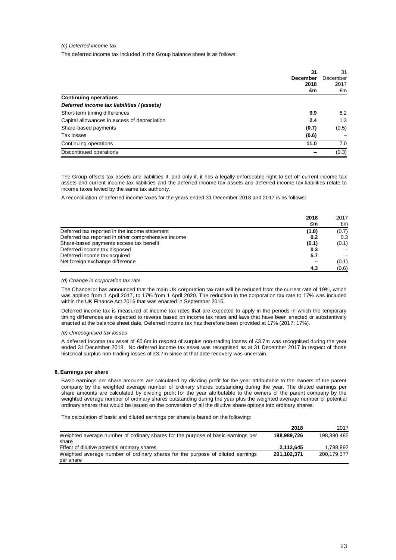#### *(c) Deferred income tax*

The deferred income tax included in the Group balance sheet is as follows:

|                                              | 31<br><b>December</b><br>2018<br>£m | 31<br>December<br>2017<br>£m |
|----------------------------------------------|-------------------------------------|------------------------------|
| <b>Continuing operations</b>                 |                                     |                              |
| Deferred income tax liabilities / (assets)   |                                     |                              |
| Short-term timing differences                | 9.9                                 | 6.2                          |
| Capital allowances in excess of depreciation | 2.4                                 | 1.3                          |
| Share-based payments                         | (0.7)                               | (0.5)                        |
| Tax losses                                   | (0.6)                               |                              |
| Continuing operations                        | 11.0                                | 7.0                          |
| Discontinued operations                      |                                     | (0.3)                        |

The Group offsets tax assets and liabilities if, and only if, it has a legally enforceable right to set off current income tax assets and current income tax liabilities and the deferred income tax assets and deferred income tax liabilities relate to income taxes levied by the same tax authority.

A reconciliation of deferred income taxes for the years ended 31 December 2018 and 2017 is as follows:

|                                                     | 2018  | <b>2017</b> |
|-----------------------------------------------------|-------|-------------|
|                                                     | £m    | £m          |
| Deferred tax reported in the income statement       | (1.8) | (0.7)       |
| Deferred tax reported in other comprehensive income | 0.2   | 0.3         |
| Share-based payments excess tax benefit             | (0.1) | (0.1)       |
| Deferred income tax disposed                        | 0.3   |             |
| Deferred income tax acquired                        | 5.7   |             |
| Net foreign exchange difference                     | -     | (0.1)       |
|                                                     | 4.3   | (0.6)       |

#### *(d) Change in corporation tax rate*

The Chancellor has announced that the main UK corporation tax rate will be reduced from the current rate of 19%, which was applied from 1 April 2017, to 17% from 1 April 2020. The reduction in the corporation tax rate to 17% was included within the UK Finance Act 2016 that was enacted in September 2016.

Deferred income tax is measured at income tax rates that are expected to apply in the periods in which the temporary timing differences are expected to reverse based on income tax rates and laws that have been enacted or substantively enacted at the balance sheet date. Deferred income tax has therefore been provided at 17% (2017: 17%).

#### *(e) Unrecognised tax losses*

A deferred income tax asset of £0.6m in respect of surplus non-trading losses of £3.7m was recognised during the year ended 31 December 2018. No deferred income tax asset was recognised as at 31 December 2017 in respect of those historical surplus non-trading losses of £3.7m since at that date recovery was uncertain.

#### **8. Earnings per share**

Basic earnings per share amounts are calculated by dividing profit for the year attributable to the owners of the parent company by the weighted average number of ordinary shares outstanding during the year. The diluted earnings per share amounts are calculated by dividing profit for the year attributable to the owners of the parent company by the weighted average number of ordinary shares outstanding during the year plus the weighted average number of potential ordinary shares that would be issued on the conversion of all the dilutive share options into ordinary shares.

The calculation of basic and diluted earnings per share is based on the following:

|                                                                                  | 2018        | 2017        |
|----------------------------------------------------------------------------------|-------------|-------------|
| Weighted average number of ordinary shares for the purpose of basic earnings per | 198.989.726 | 198.390.485 |
| share                                                                            |             |             |
| Effect of dilutive potential ordinary shares                                     | 2.112.645   | 1.788.892   |
| Weighted average number of ordinary shares for the purpose of diluted earnings   | 201.102.371 | 200.179.377 |
| per share                                                                        |             |             |

**2018**

 $2017$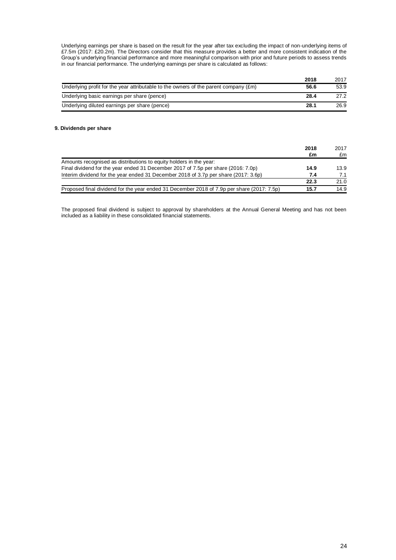Underlying earnings per share is based on the result for the year after tax excluding the impact of non-underlying items of £7.5m (2017: £20.2m). The Directors consider that this measure provides a better and more consistent indication of the Group's underlying financial performance and more meaningful comparison with prior and future periods to assess trends in our financial performance. The underlying earnings per share is calculated as follows:

|                                                                                               | 2018 | 2017 |
|-----------------------------------------------------------------------------------------------|------|------|
| Underlying profit for the year attributable to the owners of the parent company $(\text{Em})$ | 56.6 | 53.9 |
| Underlying basic earnings per share (pence)                                                   | 28.4 | 27.2 |
| Underlying diluted earnings per share (pence)                                                 | 28.1 | 26.9 |

#### **9. Dividends per share**

|                                                                                            | 2018 | 2017 |
|--------------------------------------------------------------------------------------------|------|------|
|                                                                                            | £m   | £m   |
| Amounts recognised as distributions to equity holders in the year:                         |      |      |
| Final dividend for the year ended 31 December 2017 of 7.5p per share (2016: 7.0p)          | 14.9 | 13.9 |
| Interim dividend for the year ended 31 December 2018 of 3.7p per share (2017: 3.6p)        | 7.4  | 7.1  |
|                                                                                            | 22.3 | 21.0 |
| Proposed final dividend for the year ended 31 December 2018 of 7.9p per share (2017: 7.5p) | 15.7 | 14.9 |

The proposed final dividend is subject to approval by shareholders at the Annual General Meeting and has not been included as a liability in these consolidated financial statements.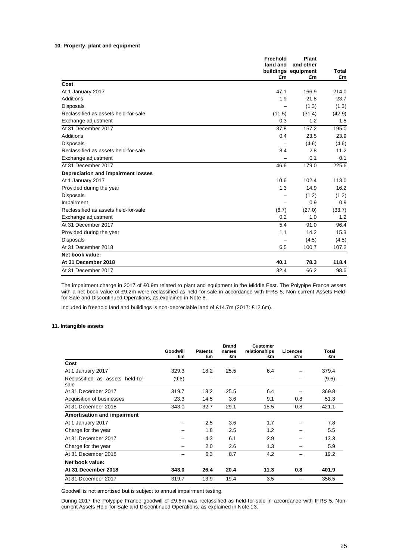#### **10. Property, plant and equipment**

|                                      | Freehold<br>land and | Plant<br>and other<br>buildings equipment | <b>Total</b> |
|--------------------------------------|----------------------|-------------------------------------------|--------------|
|                                      | £m                   | £m                                        | £m           |
| Cost                                 |                      |                                           |              |
| At 1 January 2017                    | 47.1                 | 166.9                                     | 214.0        |
| Additions                            | 1.9                  | 21.8                                      | 23.7         |
| <b>Disposals</b>                     |                      | (1.3)                                     | (1.3)        |
| Reclassified as assets held-for-sale | (11.5)               | (31.4)                                    | (42.9)       |
| Exchange adjustment                  | 0.3                  | 1.2                                       | 1.5          |
| At 31 December 2017                  | 37.8                 | 157.2                                     | 195.0        |
| Additions                            | 0.4                  | 23.5                                      | 23.9         |
| Disposals                            |                      | (4.6)                                     | (4.6)        |
| Reclassified as assets held-for-sale | 8.4                  | 2.8                                       | 11.2         |
| Exchange adjustment                  |                      | 0.1                                       | 0.1          |
| At 31 December 2017                  | 46.6                 | 179.0                                     | 225.6        |
| Depreciation and impairment losses   |                      |                                           |              |
| At 1 January 2017                    | 10.6                 | 102.4                                     | 113.0        |
| Provided during the year             | 1.3                  | 14.9                                      | 16.2         |
| Disposals                            |                      | (1.2)                                     | (1.2)        |
| Impairment                           |                      | 0.9                                       | 0.9          |
| Reclassified as assets held-for-sale | (6.7)                | (27.0)                                    | (33.7)       |
| Exchange adjustment                  | 0.2                  | 1.0                                       | 1.2          |
| At 31 December 2017                  | 5.4                  | 91.0                                      | 96.4         |
| Provided during the year             | 1.1                  | 14.2                                      | 15.3         |
| <b>Disposals</b>                     |                      | (4.5)                                     | (4.5)        |
| At 31 December 2018                  | 6.5                  | 100.7                                     | 107.2        |
| Net book value:                      |                      |                                           |              |
| At 31 December 2018                  | 40.1                 | 78.3                                      | 118.4        |
| At 31 December 2017                  | 32.4                 | 66.2                                      | 98.6         |

The impairment charge in 2017 of £0.9m related to plant and equipment in the Middle East. The Polypipe France assets with a net book value of £9.2m were reclassified as held-for-sale in accordance with IFRS 5, Non-current Assets Heldfor-Sale and Discontinued Operations, as explained in Note 8.

Included in freehold land and buildings is non-depreciable land of £14.7m (2017: £12.6m).

#### **11. Intangible assets**

|                                          | Goodwill | <b>Patents</b> | <b>Brand</b><br>names | <b>Customer</b><br>relationships | Licences | Total |
|------------------------------------------|----------|----------------|-----------------------|----------------------------------|----------|-------|
|                                          | £m       | £m             | £m                    | £m                               | £'m      | £m    |
| Cost                                     |          |                |                       |                                  |          |       |
| At 1 January 2017                        | 329.3    | 18.2           | 25.5                  | 6.4                              |          | 379.4 |
| Reclassified as assets held-for-<br>sale | (9.6)    |                |                       |                                  |          | (9.6) |
| At 31 December 2017                      | 319.7    | 18.2           | 25.5                  | 6.4                              |          | 369.8 |
| Acquisition of businesses                | 23.3     | 14.5           | 3.6                   | 9.1                              | 0.8      | 51.3  |
| At 31 December 2018                      | 343.0    | 32.7           | 29.1                  | 15.5                             | 0.8      | 421.1 |
| <b>Amortisation and impairment</b>       |          |                |                       |                                  |          |       |
| At 1 January 2017                        |          | 2.5            | 3.6                   | 1.7                              |          | 7.8   |
| Charge for the year                      |          | 1.8            | 2.5                   | 1.2                              |          | 5.5   |
| At 31 December 2017                      |          | 4.3            | 6.1                   | 2.9                              |          | 13.3  |
| Charge for the year                      |          | 2.0            | 2.6                   | 1.3                              |          | 5.9   |
| At 31 December 2018                      |          | 6.3            | 8.7                   | 4.2                              |          | 19.2  |
| Net book value:                          |          |                |                       |                                  |          |       |
| At 31 December 2018                      | 343.0    | 26.4           | 20.4                  | 11.3                             | 0.8      | 401.9 |
| At 31 December 2017                      | 319.7    | 13.9           | 19.4                  | 3.5                              |          | 356.5 |

Goodwill is not amortised but is subject to annual impairment testing.

During 2017 the Polypipe France goodwill of £9.6m was reclassified as held-for-sale in accordance with IFRS 5, Noncurrent Assets Held-for-Sale and Discontinued Operations, as explained in Note 13.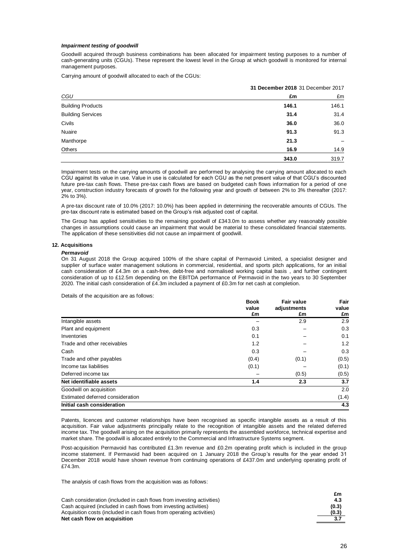#### *Impairment testing of goodwill*

Goodwill acquired through business combinations has been allocated for impairment testing purposes to a number of cash-generating units (CGUs). These represent the lowest level in the Group at which goodwill is monitored for internal management purposes.

Carrying amount of goodwill allocated to each of the CGUs:

|                          |       | 31 December 2018 31 December 2017 |  |  |
|--------------------------|-------|-----------------------------------|--|--|
| CGU                      | £m    | £m                                |  |  |
| <b>Building Products</b> | 146.1 | 146.1                             |  |  |
| <b>Building Services</b> | 31.4  | 31.4                              |  |  |
| Civils                   | 36.0  | 36.0                              |  |  |
| Nuaire                   | 91.3  | 91.3                              |  |  |
| Manthorpe                | 21.3  |                                   |  |  |
| Others                   | 16.9  | 14.9                              |  |  |
|                          | 343.0 | 319.7                             |  |  |

Impairment tests on the carrying amounts of goodwill are performed by analysing the carrying amount allocated to each CGU against its value in use. Value in use is calculated for each CGU as the net present value of that CGU's discounted future pre-tax cash flows. These pre-tax cash flows are based on budgeted cash flows information for a period of one year, construction industry forecasts of growth for the following year and growth of between 2% to 3% thereafter (2017: 2% to 3%).

A pre-tax discount rate of 10.0% (2017: 10.0%) has been applied in determining the recoverable amounts of CGUs. The pre-tax discount rate is estimated based on the Group's risk adjusted cost of capital.

The Group has applied sensitivities to the remaining goodwill of £343.0m to assess whether any reasonably possible changes in assumptions could cause an impairment that would be material to these consolidated financial statements. The application of these sensitivities did not cause an impairment of goodwill.

#### **12. Acquisitions**

#### *Permavoid*

On 31 August 2018 the Group acquired 100% of the share capital of Permavoid Limited, a specialist designer and supplier of surface water management solutions in commercial, residential, and sports pitch applications, for an initial cash consideration of £4.3m on a cash-free, debt-free and normalised working capital basis , and further contingent consideration of up to £12.5m depending on the EBITDA performance of Permavoid in the two years to 30 September 2020. The initial cash consideration of £4.3m included a payment of £0.3m for net cash at completion.

Details of the acquisition are as follows:

|                                  | <b>Book</b> | <b>Fair value</b> | Fair<br>value<br>£m |
|----------------------------------|-------------|-------------------|---------------------|
|                                  | value       | adjustments       |                     |
|                                  | £m          | £m                |                     |
| Intangible assets                |             | 2.9               | 2.9                 |
| Plant and equipment              | 0.3         |                   | 0.3                 |
| Inventories                      | 0.1         |                   | 0.1                 |
| Trade and other receivables      | 1.2         |                   | 1.2                 |
| Cash                             | 0.3         |                   | 0.3                 |
| Trade and other payables         | (0.4)       | (0.1)             | (0.5)               |
| Income tax liabilities           | (0.1)       |                   | (0.1)               |
| Deferred income tax              |             | (0.5)             | (0.5)               |
| Net identifiable assets          | 1.4         | 2.3               | 3.7                 |
| Goodwill on acquisition          |             |                   | 2.0                 |
| Estimated deferred consideration |             |                   | (1.4)               |
| Initial cash consideration       |             |                   | 4.3                 |

Patents, licences and customer relationships have been recognised as specific intangible assets as a result of this acquisition. Fair value adjustments principally relate to the recognition of intangible assets and the related deferred income tax. The goodwill arising on the acquisition primarily represents the assembled workforce, technical expertise and market share. The goodwill is allocated entirely to the Commercial and Infrastructure Systems segment.

Post-acquisition Permavoid has contributed £1.3m revenue and £0.2m operating profit which is included in the group income statement. If Permavoid had been acquired on 1 January 2018 the Group's results for the year ended 31 December 2018 would have shown revenue from continuing operations of £437.0m and underlying operating profit of £74.3m.

The analysis of cash flows from the acquisition was as follows:

Cash consideration (included in cash flows from investing activities) **4.3** Cash acquired (included in cash flows from investing activities) **(0.3)** Acquisition costs (included in cash flows from operating activities) **(0.3) Net cash flow on acquisition 3.7**

| £m    |
|-------|
| 4.3   |
| (0.3) |
| (0.3) |
| 3.7   |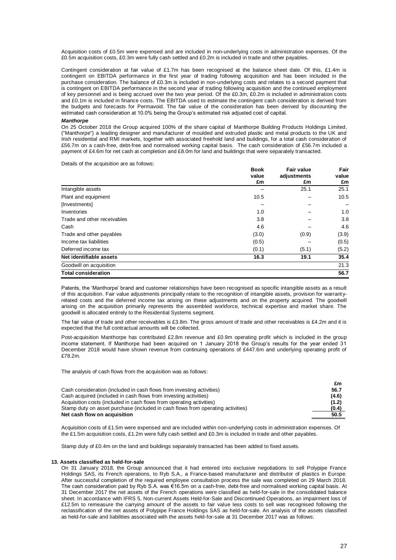Acquisition costs of £0.5m were expensed and are included in non-underlying costs in administration expenses. Of the £0.5m acquisition costs, £0.3m were fully cash settled and £0.2m is included in trade and other payables.

Contingent consideration at fair value of £1.7m has been recognised at the balance sheet date. Of this, £1.4m is contingent on EBITDA performance in the first year of trading following acquisition and has been included in the purchase consideration. The balance of £0.3m is included in non-underlying costs and relates to a second payment that is contingent on EBITDA performance in the second year of trading following acquisition and the continued employment of key personnel and is being accrued over the two year period. Of the £0.3m, £0.2m is included in administration costs and £0.1m is included in finance costs. The EBITDA used to estimate the contingent cash consideration is derived from the budgets and forecasts for Permavoid. The fair value of the consideration has been derived by discounting the estimated cash consideration at 10.0% being the Group's estimated risk adjusted cost of capital.

#### *Manthorpe*

On 25 October 2018 the Group acquired 100% of the share capital of Manthorpe Building Products Holdings Limited, ("Manthorpe") a leading designer and manufacturer of moulded and extruded plastic and metal products to the UK and Irish residential and RMI markets, together with associated freehold land and buildings, for a total cash consideration of £56.7m on a cash-free, debt-free and normalised working capital basis. The cash consideration of £56.7m included a payment of £4.6m for net cash at completion and £8.0m for land and buildings that were separately transacted.

Details of the acquisition are as follows:

|                             | <b>Book</b> | <b>Fair value</b> | Fair<br>value<br>£m |
|-----------------------------|-------------|-------------------|---------------------|
|                             | value<br>£m | adjustments<br>£m |                     |
| Intangible assets           |             | 25.1              | 25.1                |
| Plant and equipment         | 10.5        |                   | 10.5                |
| [Investments]               |             |                   |                     |
| Inventories                 | 1.0         |                   | 1.0                 |
| Trade and other receivables | 3.8         |                   | 3.8                 |
| Cash                        | 4.6         |                   | 4.6                 |
| Trade and other payables    | (3.0)       | (0.9)             | (3.9)               |
| Income tax liabilities      | (0.5)       |                   | (0.5)               |
| Deferred income tax         | (0.1)       | (5.1)             | (5.2)               |
| Net identifiable assets     | 16.3        | 19.1              | 35.4                |
| Goodwill on acquisition     |             |                   | 21.3                |
| <b>Total consideration</b>  |             |                   | 56.7                |

Patents, the 'Manthorpe' brand and customer relationships have been recognised as specific intangible assets as a result of this acquisition. Fair value adjustments principally relate to the recognition of intangible assets, provision for warrant yrelated costs and the deferred income tax arising on these adjustments and on the property acquired. The goodwill arising on the acquisition primarily represents the assembled workforce, technical expertise and market share. The goodwill is allocated entirely to the Residential Systems segment.

The fair value of trade and other receivables is £3.8m. The gross amount of trade and other receivables is £4.2m and it is expected that the full contractual amounts will be collected.

Post-acquisition Manthorpe has contributed £2.8m revenue and £0.9m operating profit which is included in the group income statement. If Manthorpe had been acquired on 1 January 2018 the Group's results for the year ended 31 December 2018 would have shown revenue from continuing operations of £447.6m and underlying operating profit of £78.2m.

The analysis of cash flows from the acquisition was as follows:

|                                                                                 | £m    |
|---------------------------------------------------------------------------------|-------|
| Cash consideration (included in cash flows from investing activities)           | 56.7  |
| Cash acquired (included in cash flows from investing activities)                | (4.6) |
| Acquisition costs (included in cash flows from operating activities)            | (1.2) |
| Stamp duty on asset purchase (included in cash flows from operating activities) | (0.4) |
| Net cash flow on acquisition                                                    | 50.5  |

Acquisition costs of £1.5m were expensed and are included within non-underlying costs in administration expenses. Of the £1.5m acquisition costs, £1.2m were fully cash settled and £0.3m is included in trade and other payables.

Stamp duty of £0.4m on the land and buildings separately transacted has been added to fixed assets.

#### **13. Assets classified as held-for-sale**

On 31 January 2018, the Group announced that it had entered into exclusive negotiations to sell Polypipe France Holdings SAS, its French operations, to Ryb S.A., a France-based manufacturer and distributor of plastics in Europe. After successful completion of the required employee consultation process the sale was completed on 29 March 2018. The cash consideration paid by Ryb S.A. was €16.5m on a cash-free, debt-free and normalised working capital basis. At 31 December 2017 the net assets of the French operations were classified as held-for-sale in the consolidated balance sheet. In accordance with IFRS 5, Non-current Assets Held-for-Sale and Discontinued Operations, an impairment loss of £12.5m to remeasure the carrying amount of the assets to fair value less costs to sell was recognised following the reclassification of the net assets of Polypipe France Holdings SAS as held-for-sale. An analysis of the assets classified as held-for-sale and liabilities associated with the assets held-for-sale at 31 December 2017 was as follows: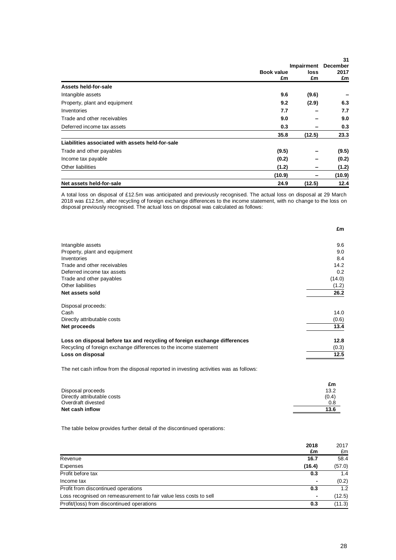|                                                  |            |            | 31     |
|--------------------------------------------------|------------|------------|--------|
|                                                  |            | Impairment |        |
|                                                  | Book value | loss<br>£m | 2017   |
|                                                  | £m         |            | £m     |
| Assets held-for-sale                             |            |            |        |
| Intangible assets                                | 9.6        | (9.6)      |        |
| Property, plant and equipment                    | 9.2        | (2.9)      | 6.3    |
| Inventories                                      | 7.7        |            | 7.7    |
| Trade and other receivables                      | 9.0        |            | 9.0    |
| Deferred income tax assets                       | 0.3        |            | 0.3    |
|                                                  | 35.8       | (12.5)     | 23.3   |
| Liabilities associated with assets held-for-sale |            |            |        |
| Trade and other payables                         | (9.5)      |            | (9.5)  |
| Income tax payable                               | (0.2)      |            | (0.2)  |
| Other liabilities                                | (1.2)      | -          | (1.2)  |
|                                                  | (10.9)     |            | (10.9) |
| Net assets held-for-sale                         | 24.9       | (12.5)     | 12.4   |

A total loss on disposal of £12.5m was anticipated and previously recognised. The actual loss on disposal at 29 March 2018 was £12.5m, after recycling of foreign exchange differences to the income statement, with no change to the loss on disposal previously recognised. The actual loss on disposal was calculated as follows:

|                                                                           | £m     |
|---------------------------------------------------------------------------|--------|
|                                                                           |        |
| Intangible assets                                                         | 9.6    |
| Property, plant and equipment                                             | 9.0    |
| Inventories                                                               | 8.4    |
| Trade and other receivables                                               | 14.2   |
| Deferred income tax assets                                                | 0.2    |
| Trade and other payables                                                  | (14.0) |
| Other liabilities                                                         | (1.2)  |
| Net assets sold                                                           | 26.2   |
| Disposal proceeds:                                                        |        |
| Cash                                                                      | 14.0   |
| Directly attributable costs                                               | (0.6)  |
| Net proceeds                                                              | 13.4   |
| Loss on disposal before tax and recycling of foreign exchange differences | 12.8   |
| Recycling of foreign exchange differences to the income statement         | (0.3)  |
| Loss on disposal                                                          | 12.5   |
|                                                                           |        |

The net cash inflow from the disposal reported in investing activities was as follows:

|                             | £m    |
|-----------------------------|-------|
| Disposal proceeds           | 13.2  |
| Directly attributable costs | (0.4) |
| Overdraft divested          | 0.8   |
| Net cash inflow             | 13.6  |
|                             |       |

The table below provides further detail of the discontinued operations:

|                                                                   | 2018<br>£m               | 2017<br>£m |
|-------------------------------------------------------------------|--------------------------|------------|
| Revenue                                                           | 16.7                     | 58.4       |
| Expenses                                                          | (16.4)                   | (57.0)     |
| Profit before tax                                                 | 0.3                      | 1.4        |
| Income tax                                                        | $\overline{\phantom{0}}$ | (0.2)      |
| Profit from discontinued operations                               | 0.3                      | 1.2        |
| Loss recognised on remeasurement to fair value less costs to sell |                          | (12.5)     |
| Profit/(loss) from discontinued operations                        | 0.3                      | (11.3)     |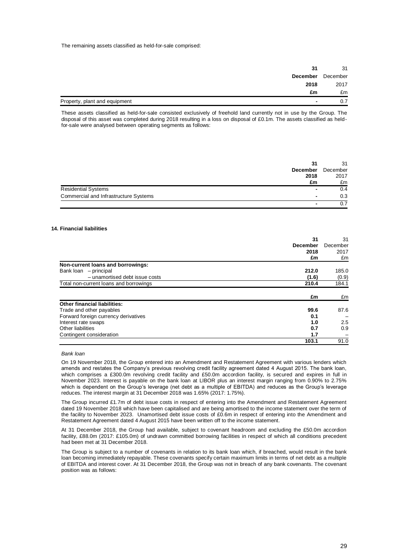The remaining assets classified as held-for-sale comprised:

| 31                                                        | 31   |
|-----------------------------------------------------------|------|
| December December                                         |      |
| 2018                                                      | 2017 |
| £m                                                        | £m   |
| Property, plant and equipment<br>$\overline{\phantom{0}}$ |      |

These assets classified as held-for-sale consisted exclusively of freehold land currently not in use by the Group. The disposal of this asset was completed during 2018 resulting in a loss on disposal of £0.1m. The assets classified as heldfor-sale were analysed between operating segments as follows:

|                                       | 31             | 31       |
|---------------------------------------|----------------|----------|
| <b>December</b>                       |                | December |
| 2018                                  |                | 2017     |
|                                       | £m             | £m       |
| <b>Residential Systems</b>            | $\blacksquare$ | 0.4      |
| Commercial and Infrastructure Systems | $\blacksquare$ | 0.3      |
|                                       |                |          |

#### **14. Financial liabilities**

|                                        | 31              | 31               |
|----------------------------------------|-----------------|------------------|
|                                        | <b>December</b> | December         |
|                                        | 2018            | 2017             |
|                                        | £m              | £m               |
| Non-current loans and borrowings:      |                 |                  |
| Bank loan<br>- principal               | 212.0           | 185.0            |
| - unamortised debt issue costs         | (1.6)           | (0.9)            |
| Total non-current loans and borrowings | 210.4           | 184.1            |
|                                        | £m              | £m               |
| <b>Other financial liabilities:</b>    |                 |                  |
| Trade and other payables               | 99.6            | 87.6             |
| Forward foreign currency derivatives   | 0.1             |                  |
| Interest rate swaps                    | 1.0             | $2.5\phantom{0}$ |
| Other liabilities                      | 0.7             | 0.9              |
| Contingent consideration               | 1.7             |                  |
|                                        | 103.1           | 91.0             |

#### *Bank loan*

On 19 November 2018, the Group entered into an Amendment and Restatement Agreement with various lenders which amends and restates the Company's previous revolving credit facility agreement dated 4 August 2015. The bank loan, which comprises a £300.0m revolving credit facility and £50.0m accordion facility, is secured and expires in full in November 2023. Interest is payable on the bank loan at LIBOR plus an interest margin ranging from 0.90% to 2.75% which is dependent on the Group's leverage (net debt as a multiple of EBITDA) and reduces as the Group's leverage reduces. The interest margin at 31 December 2018 was 1.65% (2017: 1.75%).

The Group incurred £1.7m of debt issue costs in respect of entering into the Amendment and Restatement Agreement dated 19 November 2018 which have been capitalised and are being amortised to the income statement over the term of the facility to November 2023. Unamortised debt issue costs of £0.6m in respect of entering into the Amendment and Restatement Agreement dated 4 August 2015 have been written off to the income statement.

At 31 December 2018, the Group had available, subject to covenant headroom and excluding the £50.0m accordion facility, £88.0m (2017: £105.0m) of undrawn committed borrowing facilities in respect of which all conditions precedent had been met at 31 December 2018.

The Group is subject to a number of covenants in relation to its bank loan which, if breached, would result in the bank loan becoming immediately repayable. These covenants specify certain maximum limits in terms of net debt as a multiple of EBITDA and interest cover. At 31 December 2018, the Group was not in breach of any bank covenants. The covenant position was as follows: